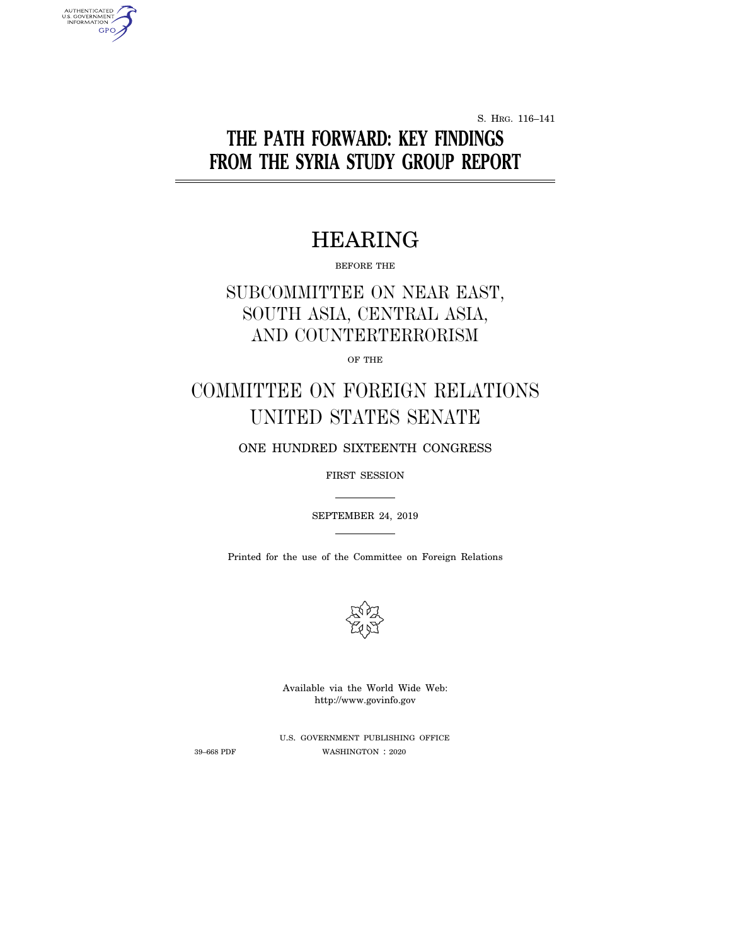S. HRG. 116–141

# **THE PATH FORWARD: KEY FINDINGS FROM THE SYRIA STUDY GROUP REPORT**

## HEARING

BEFORE THE

## SUBCOMMITTEE ON NEAR EAST, SOUTH ASIA, CENTRAL ASIA, AND COUNTERTERRORISM

OF THE

# COMMITTEE ON FOREIGN RELATIONS UNITED STATES SENATE

ONE HUNDRED SIXTEENTH CONGRESS

FIRST SESSION

SEPTEMBER 24, 2019

Printed for the use of the Committee on Foreign Relations



Available via the World Wide Web: http://www.govinfo.gov

AUTHENTICATED<br>U.S. GOVERNMENT<br>INFORMATION **GPO** 

> U.S. GOVERNMENT PUBLISHING OFFICE 39–668 PDF WASHINGTON : 2020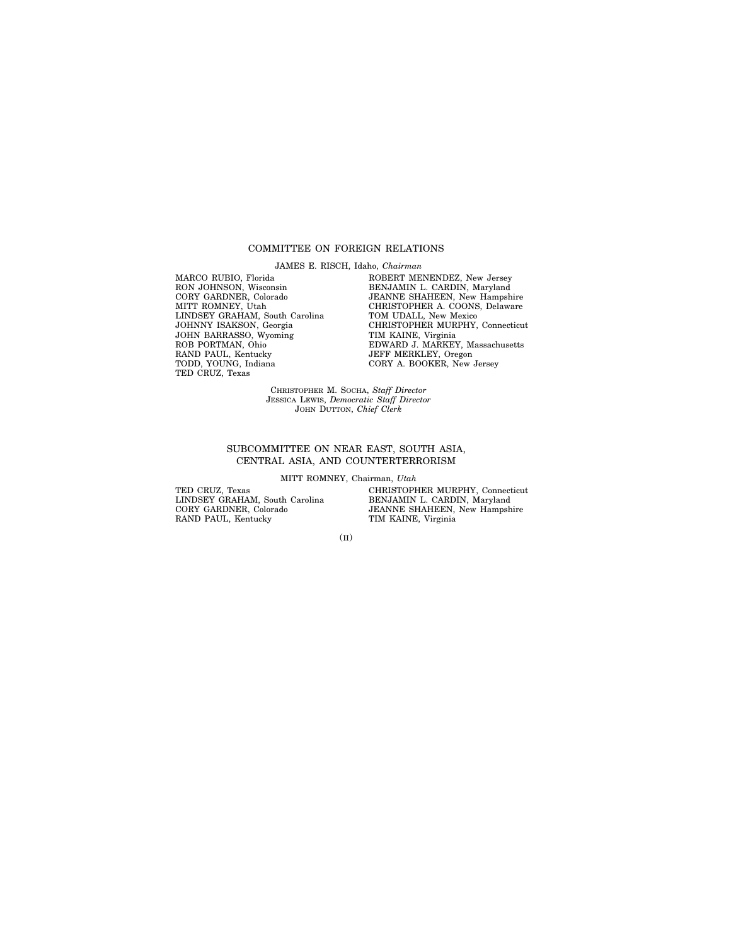#### COMMITTEE ON FOREIGN RELATIONS

JAMES E. RISCH, Idaho, *Chairman*

MARCO RUBIO, Florida RON JOHNSON, Wisconsin CORY GARDNER, Colorado MITT ROMNEY, Utah LINDSEY GRAHAM, South Carolina JOHNNY ISAKSON, Georgia JOHN BARRASSO, Wyoming ROB PORTMAN, Ohio RAND PAUL, Kentucky TODD, YOUNG, Indiana TED CRUZ, Texas

ROBERT MENENDEZ, New Jersey BENJAMIN L. CARDIN, Maryland JEANNE SHAHEEN, New Hampshire CHRISTOPHER A. COONS, Delaware TOM UDALL, New Mexico CHRISTOPHER MURPHY, Connecticut TIM KAINE, Virginia EDWARD J. MARKEY, Massachusetts JEFF MERKLEY, Oregon CORY A. BOOKER, New Jersey

CHRISTOPHER M. SOCHA, *Staff Director* JESSICA LEWIS, *Democratic Staff Director* JOHN DUTTON, *Chief Clerk*

#### SUBCOMMITTEE ON NEAR EAST, SOUTH ASIA, CENTRAL ASIA, AND COUNTERTERRORISM

MITT ROMNEY, Chairman, *Utah*

TED CRUZ, Texas LINDSEY GRAHAM, South Carolina CORY GARDNER, Colorado RAND PAUL, Kentucky

CHRISTOPHER MURPHY, Connecticut BENJAMIN L. CARDIN, Maryland JEANNE SHAHEEN, New Hampshire TIM KAINE, Virginia

(II)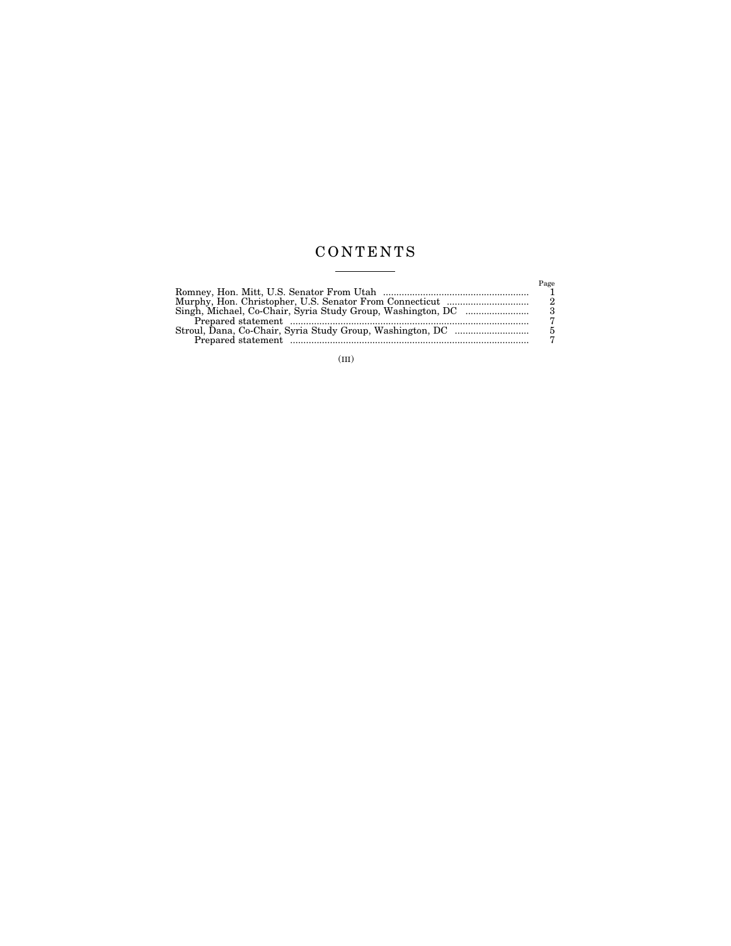### C O N T E N T S  $\begin{tabular}{l} \multicolumn{2}{c} {\textbf{1}}\\ \multicolumn{2}{c} {\textbf{2}}\\ \multicolumn{2}{c} {\textbf{3}}\\ \multicolumn{2}{c} {\textbf{4}}\\ \multicolumn{2}{c} {\textbf{5}}\\ \multicolumn{2}{c} {\textbf{6}}\\ \multicolumn{2}{c} {\textbf{6}}\\ \multicolumn{2}{c} {\textbf{7}}\\ \multicolumn{2}{c} {\textbf{8}}\\ \multicolumn{2}{c} {\textbf{9}}\\ \multicolumn{2}{c} {\textbf{1}}\\ \multicolumn{2}{c} {\textbf{1}}\\ \multicolumn{2}{c} {\textbf{1}}\\ \multicolumn$

| $P_{\text{age}}$ |
|------------------|
|                  |
| - 2              |
| $\mathcal{R}$    |
|                  |
| 5.               |
|                  |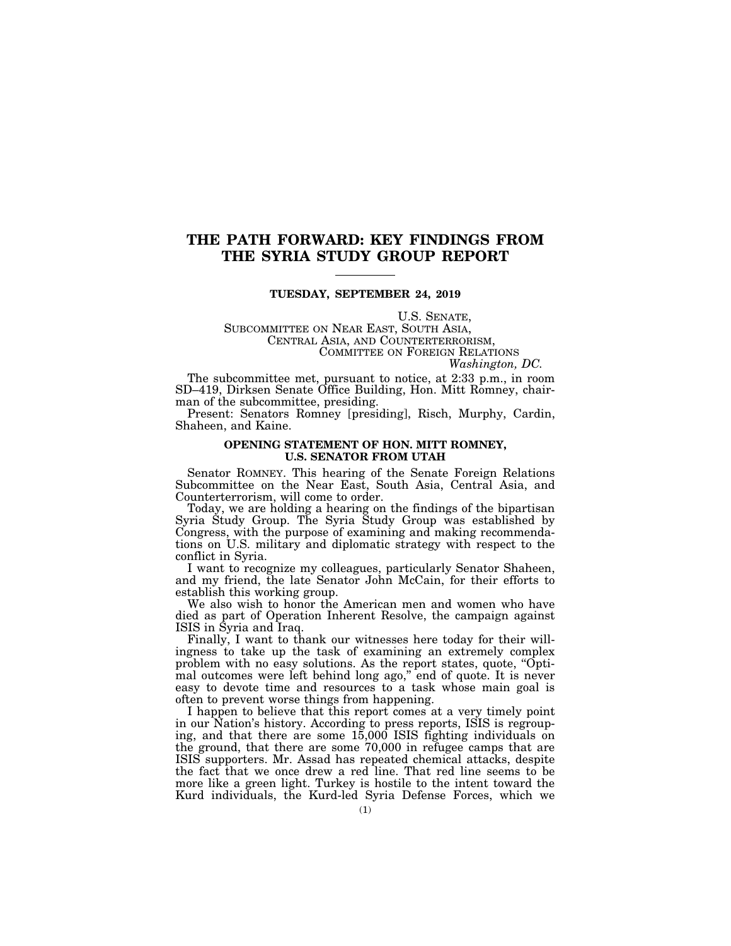### **THE PATH FORWARD: KEY FINDINGS FROM THE SYRIA STUDY GROUP REPORT**

#### **TUESDAY, SEPTEMBER 24, 2019**

U.S. SENATE,<br>SUBCOMMITTEE ON NEAR EAST, SOUTH ASIA,<br>CENTRAL ASIA, AND COUNTERTERRORISM,<br>COMMITTEE ON FOREIGN RELATIONS *Washington, DC.* 

The subcommittee met, pursuant to notice, at 2:33 p.m., in room SD–419, Dirksen Senate Office Building, Hon. Mitt Romney, chairman of the subcommittee, presiding.

Present: Senators Romney [presiding], Risch, Murphy, Cardin, Shaheen, and Kaine.

#### **OPENING STATEMENT OF HON. MITT ROMNEY, U.S. SENATOR FROM UTAH**

Senator ROMNEY. This hearing of the Senate Foreign Relations Subcommittee on the Near East, South Asia, Central Asia, and Counterterrorism, will come to order.

Today, we are holding a hearing on the findings of the bipartisan Syria Study Group. The Syria Study Group was established by Congress, with the purpose of examining and making recommendations on U.S. military and diplomatic strategy with respect to the conflict in Syria.

I want to recognize my colleagues, particularly Senator Shaheen, and my friend, the late Senator John McCain, for their efforts to establish this working group.

We also wish to honor the American men and women who have died as part of Operation Inherent Resolve, the campaign against ISIS in Syria and Iraq.

Finally, I want to thank our witnesses here today for their willingness to take up the task of examining an extremely complex problem with no easy solutions. As the report states, quote, ''Optimal outcomes were left behind long ago,'' end of quote. It is never easy to devote time and resources to a task whose main goal is often to prevent worse things from happening.

I happen to believe that this report comes at a very timely point in our Nation's history. According to press reports, ISIS is regrouping, and that there are some 15,000 ISIS fighting individuals on the ground, that there are some 70,000 in refugee camps that are ISIS supporters. Mr. Assad has repeated chemical attacks, despite the fact that we once drew a red line. That red line seems to be more like a green light. Turkey is hostile to the intent toward the Kurd individuals, the Kurd-led Syria Defense Forces, which we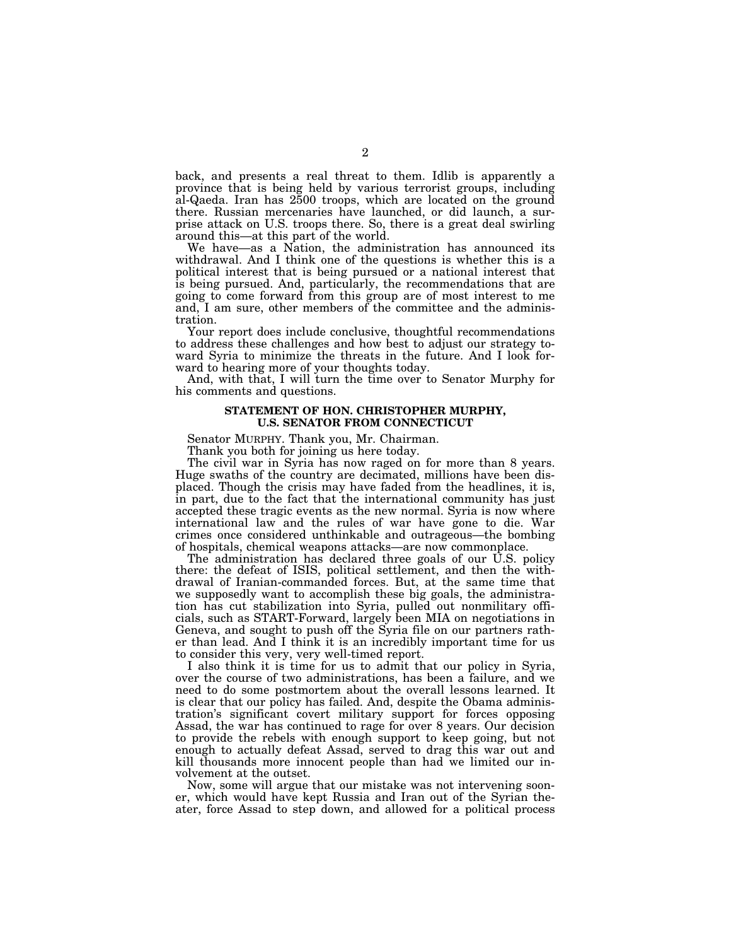back, and presents a real threat to them. Idlib is apparently a province that is being held by various terrorist groups, including al-Qaeda. Iran has 2500 troops, which are located on the ground there. Russian mercenaries have launched, or did launch, a surprise attack on U.S. troops there. So, there is a great deal swirling around this—at this part of the world.

We have—as a Nation, the administration has announced its withdrawal. And I think one of the questions is whether this is a political interest that is being pursued or a national interest that is being pursued. And, particularly, the recommendations that are going to come forward from this group are of most interest to me and, I am sure, other members of the committee and the administration.

Your report does include conclusive, thoughtful recommendations to address these challenges and how best to adjust our strategy toward Syria to minimize the threats in the future. And I look forward to hearing more of your thoughts today.

And, with that, I will turn the time over to Senator Murphy for his comments and questions.

#### **STATEMENT OF HON. CHRISTOPHER MURPHY, U.S. SENATOR FROM CONNECTICUT**

Senator MURPHY. Thank you, Mr. Chairman.

Thank you both for joining us here today.

The civil war in Syria has now raged on for more than 8 years. Huge swaths of the country are decimated, millions have been displaced. Though the crisis may have faded from the headlines, it is, in part, due to the fact that the international community has just accepted these tragic events as the new normal. Syria is now where international law and the rules of war have gone to die. War crimes once considered unthinkable and outrageous—the bombing of hospitals, chemical weapons attacks—are now commonplace.

The administration has declared three goals of our U.S. policy there: the defeat of ISIS, political settlement, and then the withdrawal of Iranian-commanded forces. But, at the same time that we supposedly want to accomplish these big goals, the administration has cut stabilization into Syria, pulled out nonmilitary officials, such as START-Forward, largely been MIA on negotiations in Geneva, and sought to push off the Syria file on our partners rather than lead. And I think it is an incredibly important time for us to consider this very, very well-timed report.

I also think it is time for us to admit that our policy in Syria, over the course of two administrations, has been a failure, and we need to do some postmortem about the overall lessons learned. It is clear that our policy has failed. And, despite the Obama administration's significant covert military support for forces opposing Assad, the war has continued to rage for over 8 years. Our decision to provide the rebels with enough support to keep going, but not enough to actually defeat Assad, served to drag this war out and kill thousands more innocent people than had we limited our involvement at the outset.

Now, some will argue that our mistake was not intervening sooner, which would have kept Russia and Iran out of the Syrian theater, force Assad to step down, and allowed for a political process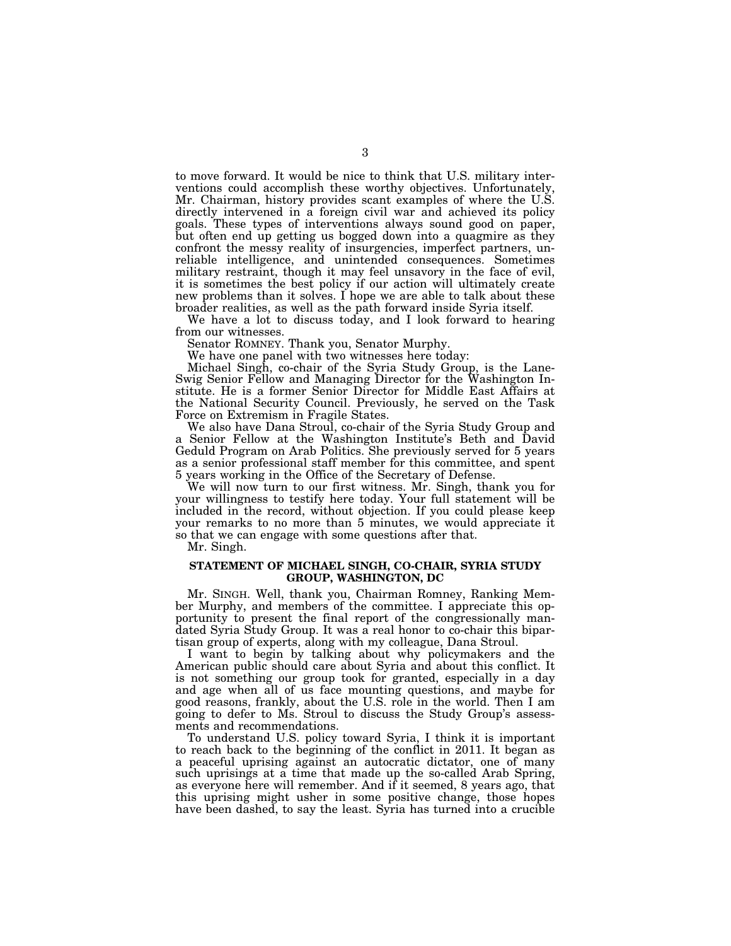to move forward. It would be nice to think that U.S. military interventions could accomplish these worthy objectives. Unfortunately, Mr. Chairman, history provides scant examples of where the U.S. directly intervened in a foreign civil war and achieved its policy goals. These types of interventions always sound good on paper, but often end up getting us bogged down into a quagmire as they confront the messy reality of insurgencies, imperfect partners, unreliable intelligence, and unintended consequences. Sometimes military restraint, though it may feel unsavory in the face of evil, it is sometimes the best policy if our action will ultimately create new problems than it solves. I hope we are able to talk about these broader realities, as well as the path forward inside Syria itself.

We have a lot to discuss today, and I look forward to hearing from our witnesses.

Senator ROMNEY. Thank you, Senator Murphy.

We have one panel with two witnesses here today:

Michael Singh, co-chair of the Syria Study Group, is the Lane-Swig Senior Fellow and Managing Director for the Washington Institute. He is a former Senior Director for Middle East Affairs at the National Security Council. Previously, he served on the Task Force on Extremism in Fragile States.

We also have Dana Stroul, co-chair of the Syria Study Group and a Senior Fellow at the Washington Institute's Beth and David Geduld Program on Arab Politics. She previously served for 5 years as a senior professional staff member for this committee, and spent 5 years working in the Office of the Secretary of Defense.

We will now turn to our first witness. Mr. Singh, thank you for your willingness to testify here today. Your full statement will be included in the record, without objection. If you could please keep your remarks to no more than 5 minutes, we would appreciate it so that we can engage with some questions after that.

Mr. Singh.

#### **STATEMENT OF MICHAEL SINGH, CO-CHAIR, SYRIA STUDY GROUP, WASHINGTON, DC**

Mr. SINGH. Well, thank you, Chairman Romney, Ranking Member Murphy, and members of the committee. I appreciate this opportunity to present the final report of the congressionally mandated Syria Study Group. It was a real honor to co-chair this bipartisan group of experts, along with my colleague, Dana Stroul.

I want to begin by talking about why policymakers and the American public should care about Syria and about this conflict. It is not something our group took for granted, especially in a day and age when all of us face mounting questions, and maybe for good reasons, frankly, about the U.S. role in the world. Then I am going to defer to Ms. Stroul to discuss the Study Group's assessments and recommendations.

To understand U.S. policy toward Syria, I think it is important to reach back to the beginning of the conflict in 2011. It began as a peaceful uprising against an autocratic dictator, one of many such uprisings at a time that made up the so-called Arab Spring, as everyone here will remember. And if it seemed, 8 years ago, that this uprising might usher in some positive change, those hopes have been dashed, to say the least. Syria has turned into a crucible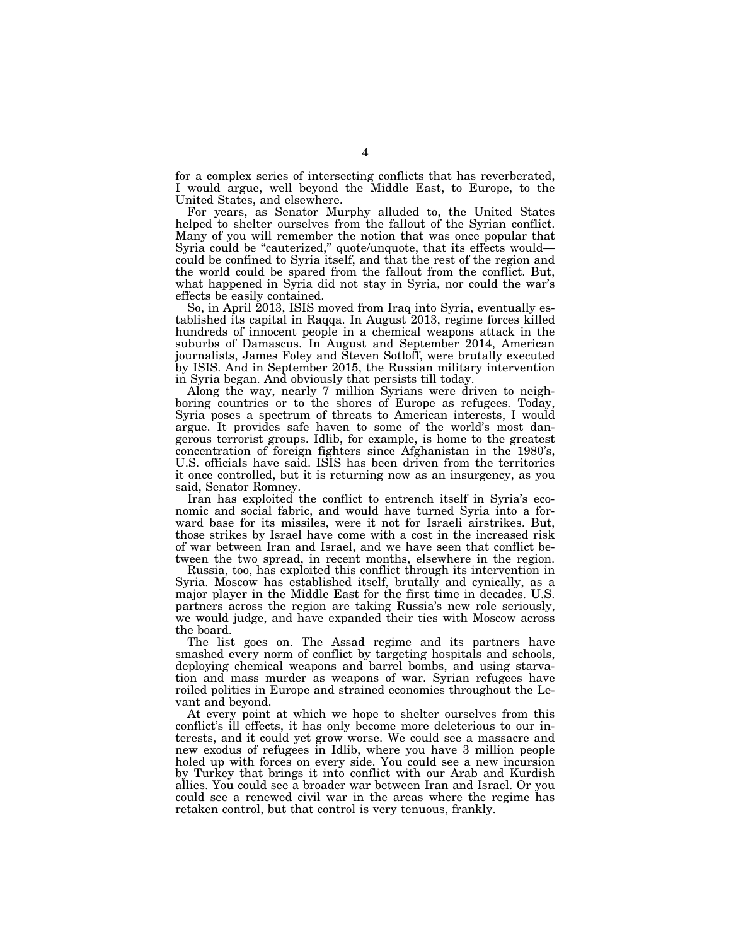for a complex series of intersecting conflicts that has reverberated, I would argue, well beyond the Middle East, to Europe, to the United States, and elsewhere.

For years, as Senator Murphy alluded to, the United States helped to shelter ourselves from the fallout of the Syrian conflict. Many of you will remember the notion that was once popular that Syria could be "cauterized," quote/unquote, that its effects would could be confined to Syria itself, and that the rest of the region and the world could be spared from the fallout from the conflict. But, what happened in Syria did not stay in Syria, nor could the war's effects be easily contained.

So, in April 2013, ISIS moved from Iraq into Syria, eventually established its capital in Raqqa. In August 2013, regime forces killed hundreds of innocent people in a chemical weapons attack in the suburbs of Damascus. In August and September 2014, American journalists, James Foley and Steven Sotloff, were brutally executed by ISIS. And in September 2015, the Russian military intervention in Syria began. And obviously that persists till today.

Along the way, nearly 7 million Syrians were driven to neighboring countries or to the shores of Europe as refugees. Today, Syria poses a spectrum of threats to American interests, I would argue. It provides safe haven to some of the world's most dangerous terrorist groups. Idlib, for example, is home to the greatest concentration of foreign fighters since Afghanistan in the 1980's, U.S. officials have said. ISIS has been driven from the territories it once controlled, but it is returning now as an insurgency, as you said, Senator Romney.

Iran has exploited the conflict to entrench itself in Syria's economic and social fabric, and would have turned Syria into a forward base for its missiles, were it not for Israeli airstrikes. But, those strikes by Israel have come with a cost in the increased risk of war between Iran and Israel, and we have seen that conflict between the two spread, in recent months, elsewhere in the region.

Russia, too, has exploited this conflict through its intervention in Syria. Moscow has established itself, brutally and cynically, as a major player in the Middle East for the first time in decades. U.S. partners across the region are taking Russia's new role seriously, we would judge, and have expanded their ties with Moscow across the board.

The list goes on. The Assad regime and its partners have smashed every norm of conflict by targeting hospitals and schools, deploying chemical weapons and barrel bombs, and using starvation and mass murder as weapons of war. Syrian refugees have roiled politics in Europe and strained economies throughout the Levant and beyond.

At every point at which we hope to shelter ourselves from this conflict's ill effects, it has only become more deleterious to our interests, and it could yet grow worse. We could see a massacre and new exodus of refugees in Idlib, where you have 3 million people holed up with forces on every side. You could see a new incursion by Turkey that brings it into conflict with our Arab and Kurdish allies. You could see a broader war between Iran and Israel. Or you could see a renewed civil war in the areas where the regime has retaken control, but that control is very tenuous, frankly.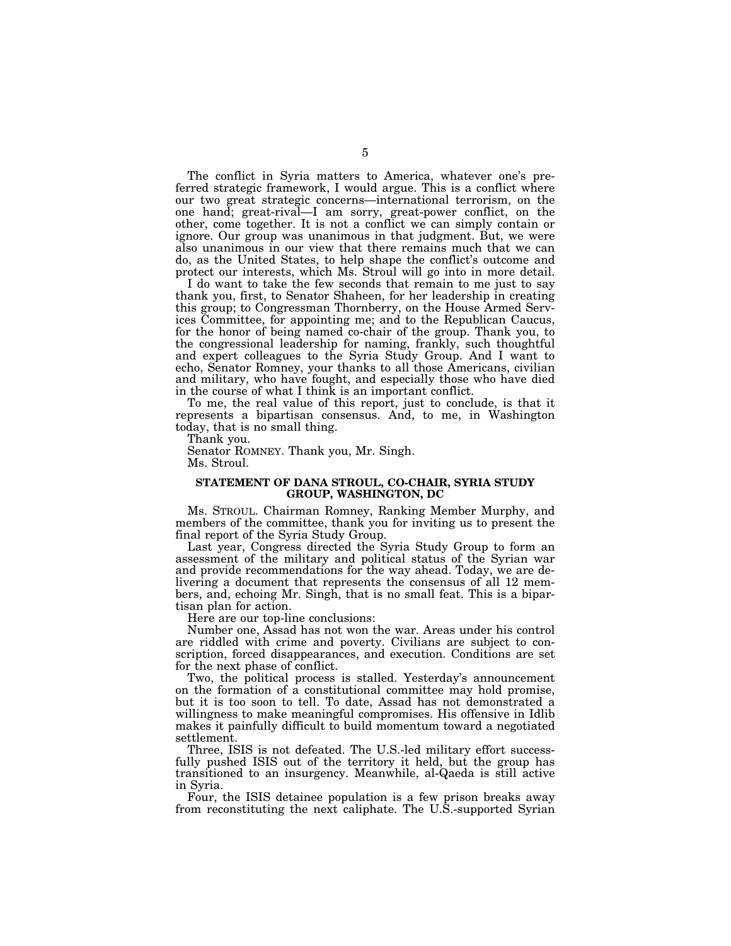The conflict in Syria matters to America, whatever one's preferred strategic framework, I would argue. This is a conflict where our two great strategic concerns—international terrorism, on the one hand; great-rival—I am sorry, great-power conflict, on the other, come together. It is not a conflict we can simply contain or ignore. Our group was unanimous in that judgment. But, we were also unanimous in our view that there remains much that we can do, as the United States, to help shape the conflict's outcome and protect our interests, which Ms. Stroul will go into in more detail.

I do want to take the few seconds that remain to me just to say thank you, first, to Senator Shaheen, for her leadership in creating this group; to Congressman Thornberry, on the House Armed Services Committee, for appointing me; and to the Republican Caucus, for the honor of being named co-chair of the group. Thank you, to the congressional leadership for naming, frankly, such thoughtful and expert colleagues to the Syria Study Group. And I want to echo, Senator Romney, your thanks to all those Americans, civilian and military, who have fought, and especially those who have died in the course of what I think is an important conflict.

To me, the real value of this report, just to conclude, is that it represents a bipartisan consensus. And, to me, in Washington today, that is no small thing.

Thank you.

Senator ROMNEY. Thank you, Mr. Singh. Ms. Stroul.

#### **STATEMENT OF DANA STROUL, CO-CHAIR, SYRIA STUDY GROUP, WASHINGTON, DC**

Ms. STROUL. Chairman Romney, Ranking Member Murphy, and members of the committee, thank you for inviting us to present the final report of the Syria Study Group.

Last year, Congress directed the Syria Study Group to form an assessment of the military and political status of the Syrian war and provide recommendations for the way ahead. Today, we are delivering a document that represents the consensus of all 12 members, and, echoing Mr. Singh, that is no small feat. This is a bipartisan plan for action.

Here are our top-line conclusions:

Number one, Assad has not won the war. Areas under his control are riddled with crime and poverty. Civilians are subject to conscription, forced disappearances, and execution. Conditions are set for the next phase of conflict.

Two, the political process is stalled. Yesterday's announcement on the formation of a constitutional committee may hold promise, but it is too soon to tell. To date, Assad has not demonstrated a willingness to make meaningful compromises. His offensive in Idlib makes it painfully difficult to build momentum toward a negotiated settlement.

Three, ISIS is not defeated. The U.S.-led military effort successfully pushed ISIS out of the territory it held, but the group has transitioned to an insurgency. Meanwhile, al-Qaeda is still active in Syria.

Four, the ISIS detainee population is a few prison breaks away from reconstituting the next caliphate. The U.S.-supported Syrian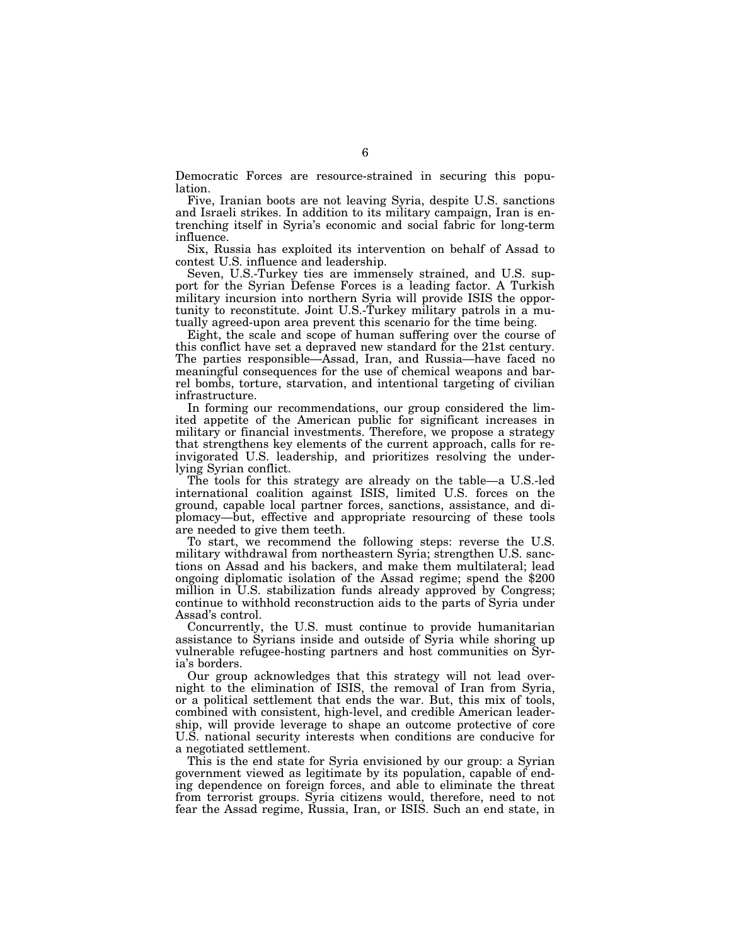Democratic Forces are resource-strained in securing this population.

Five, Iranian boots are not leaving Syria, despite U.S. sanctions and Israeli strikes. In addition to its military campaign, Iran is entrenching itself in Syria's economic and social fabric for long-term influence.

Six, Russia has exploited its intervention on behalf of Assad to contest U.S. influence and leadership.

Seven, U.S.-Turkey ties are immensely strained, and U.S. support for the Syrian Defense Forces is a leading factor. A Turkish military incursion into northern Syria will provide ISIS the opportunity to reconstitute. Joint U.S.-Turkey military patrols in a mutually agreed-upon area prevent this scenario for the time being.

Eight, the scale and scope of human suffering over the course of this conflict have set a depraved new standard for the 21st century. The parties responsible—Assad, Iran, and Russia—have faced no meaningful consequences for the use of chemical weapons and barrel bombs, torture, starvation, and intentional targeting of civilian infrastructure.

In forming our recommendations, our group considered the limited appetite of the American public for significant increases in military or financial investments. Therefore, we propose a strategy that strengthens key elements of the current approach, calls for reinvigorated U.S. leadership, and prioritizes resolving the underlying Syrian conflict.

The tools for this strategy are already on the table—a U.S.-led international coalition against ISIS, limited U.S. forces on the ground, capable local partner forces, sanctions, assistance, and diplomacy—but, effective and appropriate resourcing of these tools are needed to give them teeth.

To start, we recommend the following steps: reverse the U.S. military withdrawal from northeastern Syria; strengthen U.S. sanctions on Assad and his backers, and make them multilateral; lead ongoing diplomatic isolation of the Assad regime; spend the \$200 million in U.S. stabilization funds already approved by Congress; continue to withhold reconstruction aids to the parts of Syria under Assad's control.

Concurrently, the U.S. must continue to provide humanitarian assistance to Syrians inside and outside of Syria while shoring up vulnerable refugee-hosting partners and host communities on Syria's borders.

Our group acknowledges that this strategy will not lead overnight to the elimination of ISIS, the removal of Iran from Syria, or a political settlement that ends the war. But, this mix of tools, combined with consistent, high-level, and credible American leadership, will provide leverage to shape an outcome protective of core U.S. national security interests when conditions are conducive for a negotiated settlement.

This is the end state for Syria envisioned by our group: a Syrian government viewed as legitimate by its population, capable of ending dependence on foreign forces, and able to eliminate the threat from terrorist groups. Syria citizens would, therefore, need to not fear the Assad regime, Russia, Iran, or ISIS. Such an end state, in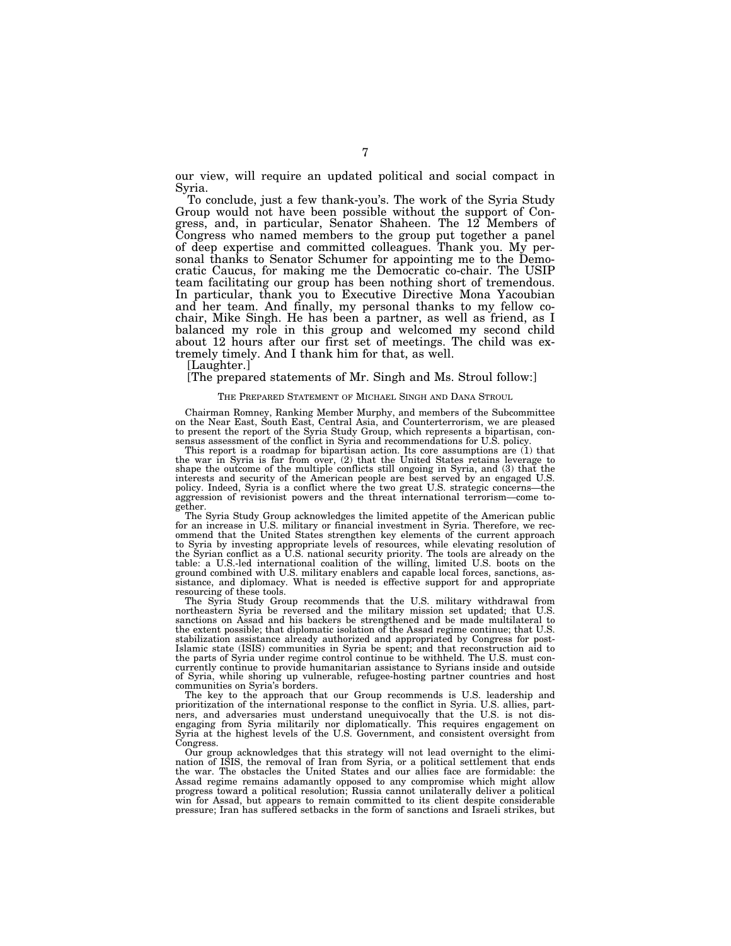our view, will require an updated political and social compact in Syria.

To conclude, just a few thank-you's. The work of the Syria Study Group would not have been possible without the support of Congress, and, in particular, Senator Shaheen. The 12 Members of Congress who named members to the group put together a panel of deep expertise and committed colleagues. Thank you. My personal thanks to Senator Schumer for appointing me to the Democratic Caucus, for making me the Democratic co-chair. The USIP team facilitating our group has been nothing short of tremendous. In particular, thank you to Executive Directive Mona Yacoubian and her team. And finally, my personal thanks to my fellow cochair, Mike Singh. He has been a partner, as well as friend, as I balanced my role in this group and welcomed my second child about 12 hours after our first set of meetings. The child was extremely timely. And I thank him for that, as well.

[Laughter.]

#### [The prepared statements of Mr. Singh and Ms. Stroul follow:]

#### THE PREPARED STATEMENT OF MICHAEL SINGH AND DANA STROUL

Chairman Romney, Ranking Member Murphy, and members of the Subcommittee on the Near East, South East, Central Asia, and Counterterrorism, we are pleased to present the report of the Syria Study Group, which represents a bipartisan, consensus assessment of the conflict in Syria and recommendations for U.S. policy.

This report is a roadmap for bipartisan action. Its core assumptions are (1) that the war in Syria is far from over, (2) that the United States retains leverage to shape the outcome of the multiple conflicts still ongoing in Syria, and (3) that the interests and security of the American people are best served by an engaged U.S. policy. Indeed, Syria is a conflict where the two great U.S. strategic concerns—the aggression of revisionist powers and the threat international terrorism—come together.

The Syria Study Group acknowledges the limited appetite of the American public for an increase in U.S. military or financial investment in Syria. Therefore, we recommend that the United States strengthen key elements of the current approach to Syria by investing appropriate levels of resources, while elevating resolution of the Syrian conflict as a U.S. national security priority. The tools are already on the table: a U.S.-led international coalition of the willing, limited U.S. boots on the ground combined with U.S. military enablers and capable local forces, sanctions, assistance, and diplomacy. What is needed is effective support for and appropriate resourcing of these tools.

The Syria Study Group recommends that the U.S. military withdrawal from northeastern Syria be reversed and the military mission set updated; that U.S. sanctions on Assad and his backers be strengthened and be made multilateral to the extent possible; that diplomatic isolation of the Assad regime continue; that U.S. stabilization assistance already authorized and appropriated by Congress for post-Islamic state (ISIS) communities in Syria be spent; and that reconstruction aid to the parts of Syria under regime control continue to be withheld. The U.S. must concurrently continue to provide humanitarian assistance to Syrians inside and outside of Syria, while shoring up vulnerable, refugee-hosting partner countries and host communities on Syria's borders.

The key to the approach that our Group recommends is U.S. leadership and prioritization of the international response to the conflict in Syria. U.S. allies, partners, and adversaries must understand unequivocally that the U.S. is not disengaging from Syria militarily nor diplomatically. This requires engagement on Syria at the highest levels of the U.S. Government, and consistent oversight from Congress.

Our group acknowledges that this strategy will not lead overnight to the elimination of ISIS, the removal of Iran from Syria, or a political settlement that ends the war. The obstacles the United States and our allies face are formidable: the Assad regime remains adamantly opposed to any compromise which might allow progress toward a political resolution; Russia cannot unilaterally deliver a political win for Assad, but appears to remain committed to its client despite considerable pressure; Iran has suffered setbacks in the form of sanctions and Israeli strikes, but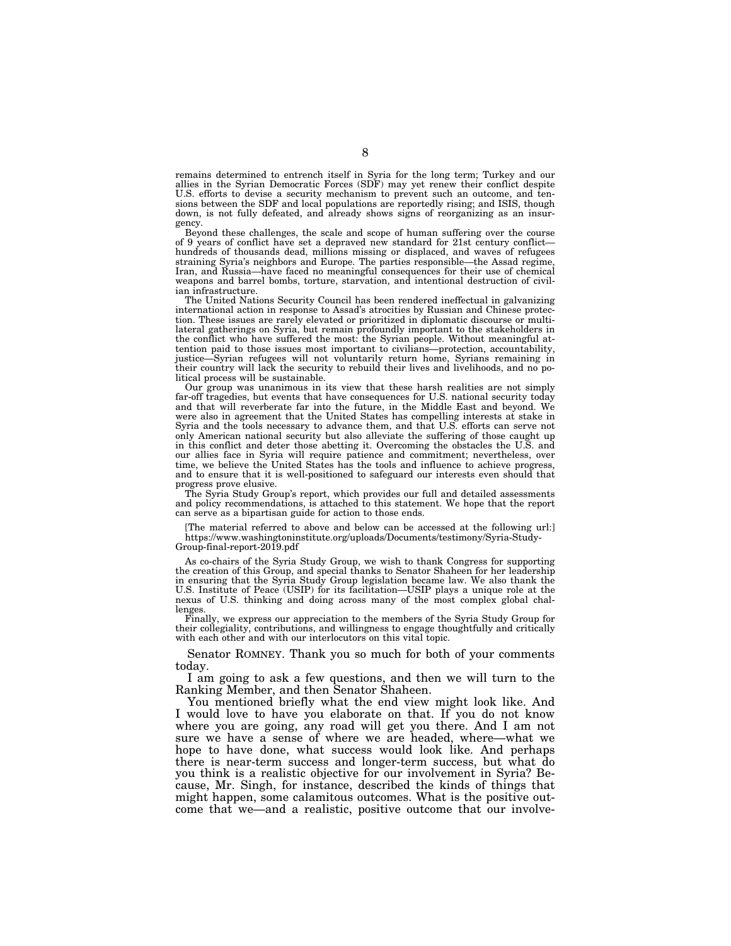remains determined to entrench itself in Syria for the long term; Turkey and our allies in the Syrian Democratic Forces (SDF) may yet renew their conflict despite U.S. efforts to devise a security mechanism to prevent such an outcome, and tensions between the SDF and local populations are reportedly rising; and ISIS, though down, is not fully defeated, and already shows signs of reorganizing as an insurgency.

Beyond these challenges, the scale and scope of human suffering over the course of 9 years of conflict have set a depraved new standard for 21st century conflict hundreds of thousands dead, millions missing or displaced, and waves of refugees straining Syria's neighbors and Europe. The parties responsible—the Assad regime, Iran, and Russia—have faced no meaningful consequences for their use of chemical weapons and barrel bombs, torture, starvation, and intentional destruction of civilian infrastructure.

The United Nations Security Council has been rendered ineffectual in galvanizing international action in response to Assad's atrocities by Russian and Chinese protection. These issues are rarely elevated or prioritized in diplomatic discourse or multilateral gatherings on Syria, but remain profoundly important to the stakeholders in the conflict who have suffered the most: the Syrian people. Without meaningful attention paid to those issues most important to civilians—protection, accountability, justice—Syrian refugees will not voluntarily return home, Syrians remaining in their country will lack the security to rebuild their lives and livelihoods, and no political process will be sustainable.

Our group was unanimous in its view that these harsh realities are not simply far-off tragedies, but events that have consequences for U.S. national security today and that will reverberate far into the future, in the Middle East and beyond. We were also in agreement that the United States has compelling interests at stake in Syria and the tools necessary to advance them, and that U.S. efforts can serve not only American national security but also alleviate the suffering of those caught up in this conflict and deter those abetting it. Overcoming the obstacles the U.S. and our allies face in Syria will require patience and commitment; nevertheless, over time, we believe the United States has the tools and influence to achieve progress, and to ensure that it is well-positioned to safeguard our interests even should that progress prove elusive.

The Syria Study Group's report, which provides our full and detailed assessments and policy recommendations, is attached to this statement. We hope that the report can serve as a bipartisan guide for action to those ends.

[The material referred to above and below can be accessed at the following url:] https://www.washingtoninstitute.org/uploads/Documents/testimony/Syria-Study-Group-final-report-2019.pdf

As co-chairs of the Syria Study Group, we wish to thank Congress for supporting the creation of this Group, and special thanks to Senator Shaheen for her leadership in ensuring that the Syria Study Group legislation became law. We also thank the U.S. Institute of Peace (USIP) for its facilitation—USIP plays a unique role at the nexus of U.S. thinking and doing across many of the most complex global challenges.

Finally, we express our appreciation to the members of the Syria Study Group for their collegiality, contributions, and willingness to engage thoughtfully and critically with each other and with our interlocutors on this vital topic.

Senator ROMNEY. Thank you so much for both of your comments today.

I am going to ask a few questions, and then we will turn to the Ranking Member, and then Senator Shaheen.

You mentioned briefly what the end view might look like. And I would love to have you elaborate on that. If you do not know where you are going, any road will get you there. And I am not sure we have a sense of where we are headed, where—what we hope to have done, what success would look like. And perhaps there is near-term success and longer-term success, but what do you think is a realistic objective for our involvement in Syria? Because, Mr. Singh, for instance, described the kinds of things that might happen, some calamitous outcomes. What is the positive outcome that we—and a realistic, positive outcome that our involve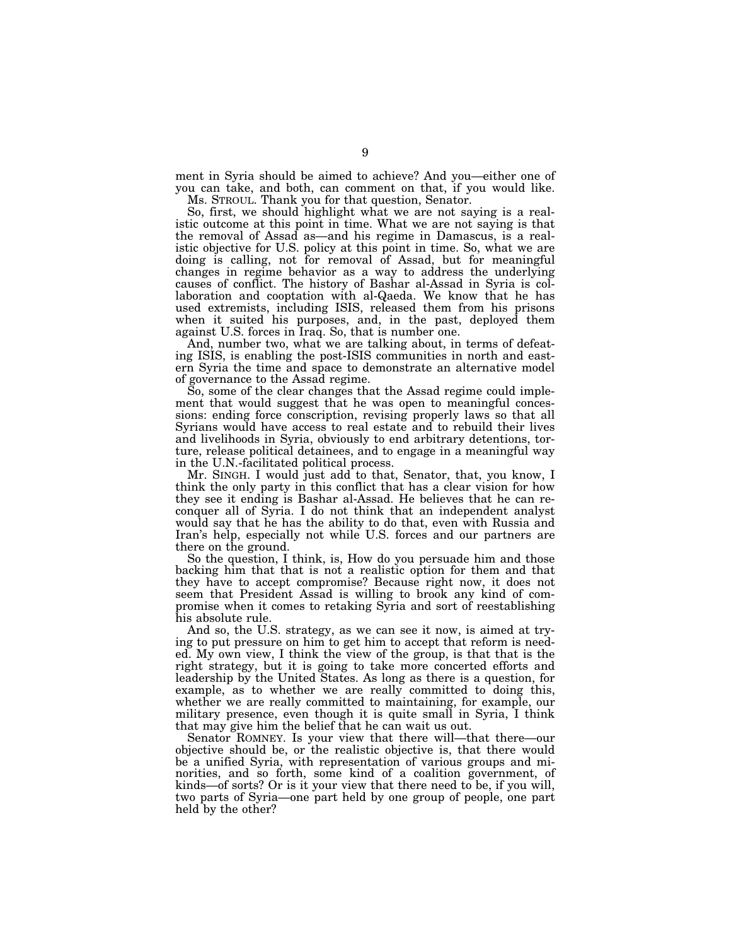ment in Syria should be aimed to achieve? And you—either one of you can take, and both, can comment on that, if you would like. Ms. STROUL. Thank you for that question, Senator.

So, first, we should highlight what we are not saying is a realistic outcome at this point in time. What we are not saying is that the removal of Assad as—and his regime in Damascus, is a realistic objective for U.S. policy at this point in time. So, what we are doing is calling, not for removal of Assad, but for meaningful changes in regime behavior as a way to address the underlying causes of conflict. The history of Bashar al-Assad in Syria is collaboration and cooptation with al-Qaeda. We know that he has used extremists, including ISIS, released them from his prisons when it suited his purposes, and, in the past, deployed them against U.S. forces in Iraq. So, that is number one.

And, number two, what we are talking about, in terms of defeating ISIS, is enabling the post-ISIS communities in north and eastern Syria the time and space to demonstrate an alternative model of governance to the Assad regime.

So, some of the clear changes that the Assad regime could implement that would suggest that he was open to meaningful concessions: ending force conscription, revising properly laws so that all Syrians would have access to real estate and to rebuild their lives and livelihoods in Syria, obviously to end arbitrary detentions, torture, release political detainees, and to engage in a meaningful way in the U.N.-facilitated political process.

Mr. SINGH. I would just add to that, Senator, that, you know, I think the only party in this conflict that has a clear vision for how they see it ending is Bashar al-Assad. He believes that he can reconquer all of Syria. I do not think that an independent analyst would say that he has the ability to do that, even with Russia and Iran's help, especially not while U.S. forces and our partners are there on the ground.

So the question, I think, is, How do you persuade him and those backing him that that is not a realistic option for them and that they have to accept compromise? Because right now, it does not seem that President Assad is willing to brook any kind of compromise when it comes to retaking Syria and sort of reestablishing his absolute rule.

And so, the U.S. strategy, as we can see it now, is aimed at trying to put pressure on him to get him to accept that reform is needed. My own view, I think the view of the group, is that that is the right strategy, but it is going to take more concerted efforts and leadership by the United States. As long as there is a question, for example, as to whether we are really committed to doing this, whether we are really committed to maintaining, for example, our military presence, even though it is quite small in Syria, I think that may give him the belief that he can wait us out.

Senator ROMNEY. Is your view that there will—that there—our objective should be, or the realistic objective is, that there would be a unified Syria, with representation of various groups and minorities, and so forth, some kind of a coalition government, of kinds—of sorts? Or is it your view that there need to be, if you will, two parts of Syria—one part held by one group of people, one part held by the other?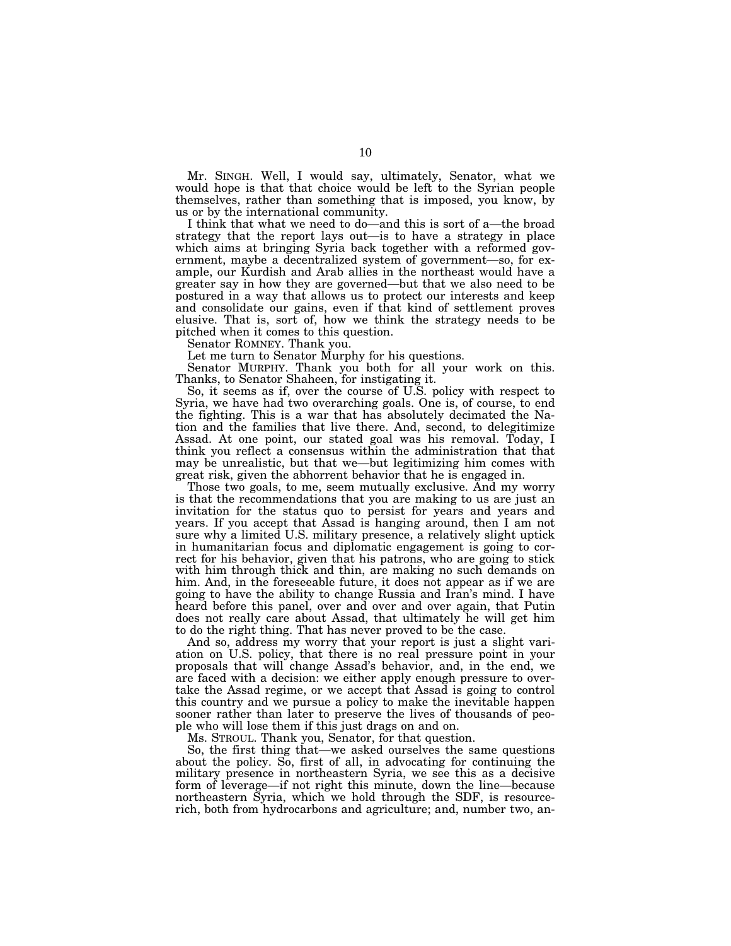Mr. SINGH. Well, I would say, ultimately, Senator, what we would hope is that that choice would be left to the Syrian people themselves, rather than something that is imposed, you know, by us or by the international community.

I think that what we need to do—and this is sort of a—the broad strategy that the report lays out—is to have a strategy in place which aims at bringing Syria back together with a reformed government, maybe a decentralized system of government—so, for example, our Kurdish and Arab allies in the northeast would have a greater say in how they are governed—but that we also need to be postured in a way that allows us to protect our interests and keep and consolidate our gains, even if that kind of settlement proves elusive. That is, sort of, how we think the strategy needs to be pitched when it comes to this question.

Senator ROMNEY. Thank you.

Let me turn to Senator Murphy for his questions.

Senator MURPHY. Thank you both for all your work on this. Thanks, to Senator Shaheen, for instigating it.

So, it seems as if, over the course of U.S. policy with respect to Syria, we have had two overarching goals. One is, of course, to end the fighting. This is a war that has absolutely decimated the Nation and the families that live there. And, second, to delegitimize Assad. At one point, our stated goal was his removal. Today, I think you reflect a consensus within the administration that that may be unrealistic, but that we—but legitimizing him comes with great risk, given the abhorrent behavior that he is engaged in.

Those two goals, to me, seem mutually exclusive. And my worry is that the recommendations that you are making to us are just an invitation for the status quo to persist for years and years and years. If you accept that Assad is hanging around, then I am not sure why a limited U.S. military presence, a relatively slight uptick in humanitarian focus and diplomatic engagement is going to correct for his behavior, given that his patrons, who are going to stick with him through thick and thin, are making no such demands on him. And, in the foreseeable future, it does not appear as if we are going to have the ability to change Russia and Iran's mind. I have heard before this panel, over and over and over again, that Putin does not really care about Assad, that ultimately he will get him to do the right thing. That has never proved to be the case.

And so, address my worry that your report is just a slight variation on U.S. policy, that there is no real pressure point in your proposals that will change Assad's behavior, and, in the end, we are faced with a decision: we either apply enough pressure to overtake the Assad regime, or we accept that Assad is going to control this country and we pursue a policy to make the inevitable happen sooner rather than later to preserve the lives of thousands of people who will lose them if this just drags on and on.

Ms. STROUL. Thank you, Senator, for that question.

So, the first thing that—we asked ourselves the same questions about the policy. So, first of all, in advocating for continuing the military presence in northeastern Syria, we see this as a decisive form of leverage—if not right this minute, down the line—because northeastern Syria, which we hold through the SDF, is resourcerich, both from hydrocarbons and agriculture; and, number two, an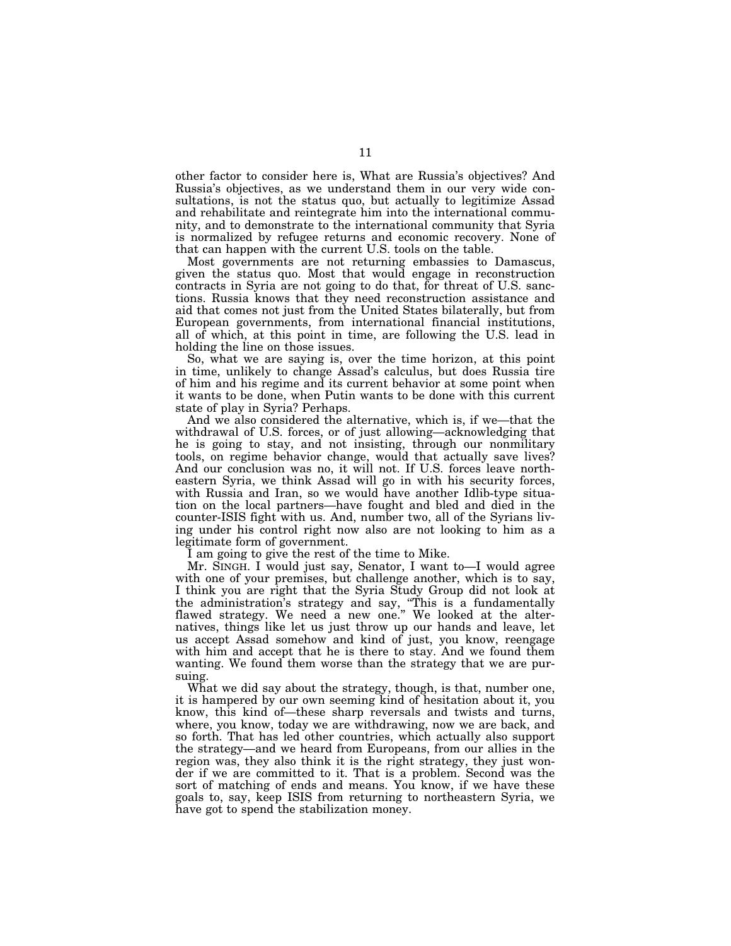other factor to consider here is, What are Russia's objectives? And Russia's objectives, as we understand them in our very wide consultations, is not the status quo, but actually to legitimize Assad and rehabilitate and reintegrate him into the international community, and to demonstrate to the international community that Syria is normalized by refugee returns and economic recovery. None of that can happen with the current U.S. tools on the table.

Most governments are not returning embassies to Damascus, given the status quo. Most that would engage in reconstruction contracts in Syria are not going to do that, for threat of U.S. sanctions. Russia knows that they need reconstruction assistance and aid that comes not just from the United States bilaterally, but from European governments, from international financial institutions, all of which, at this point in time, are following the U.S. lead in holding the line on those issues.

So, what we are saying is, over the time horizon, at this point in time, unlikely to change Assad's calculus, but does Russia tire of him and his regime and its current behavior at some point when it wants to be done, when Putin wants to be done with this current state of play in Syria? Perhaps.

And we also considered the alternative, which is, if we—that the withdrawal of U.S. forces, or of just allowing—acknowledging that he is going to stay, and not insisting, through our nonmilitary tools, on regime behavior change, would that actually save lives? And our conclusion was no, it will not. If U.S. forces leave northeastern Syria, we think Assad will go in with his security forces, with Russia and Iran, so we would have another Idlib-type situation on the local partners—have fought and bled and died in the counter-ISIS fight with us. And, number two, all of the Syrians living under his control right now also are not looking to him as a legitimate form of government.

I am going to give the rest of the time to Mike.

Mr. SINGH. I would just say, Senator, I want to—I would agree with one of your premises, but challenge another, which is to say, I think you are right that the Syria Study Group did not look at the administration's strategy and say, ''This is a fundamentally flawed strategy. We need a new one.'' We looked at the alternatives, things like let us just throw up our hands and leave, let us accept Assad somehow and kind of just, you know, reengage with him and accept that he is there to stay. And we found them wanting. We found them worse than the strategy that we are pursuing.

What we did say about the strategy, though, is that, number one, it is hampered by our own seeming kind of hesitation about it, you know, this kind of—these sharp reversals and twists and turns, where, you know, today we are withdrawing, now we are back, and so forth. That has led other countries, which actually also support the strategy—and we heard from Europeans, from our allies in the region was, they also think it is the right strategy, they just wonder if we are committed to it. That is a problem. Second was the sort of matching of ends and means. You know, if we have these goals to, say, keep ISIS from returning to northeastern Syria, we have got to spend the stabilization money.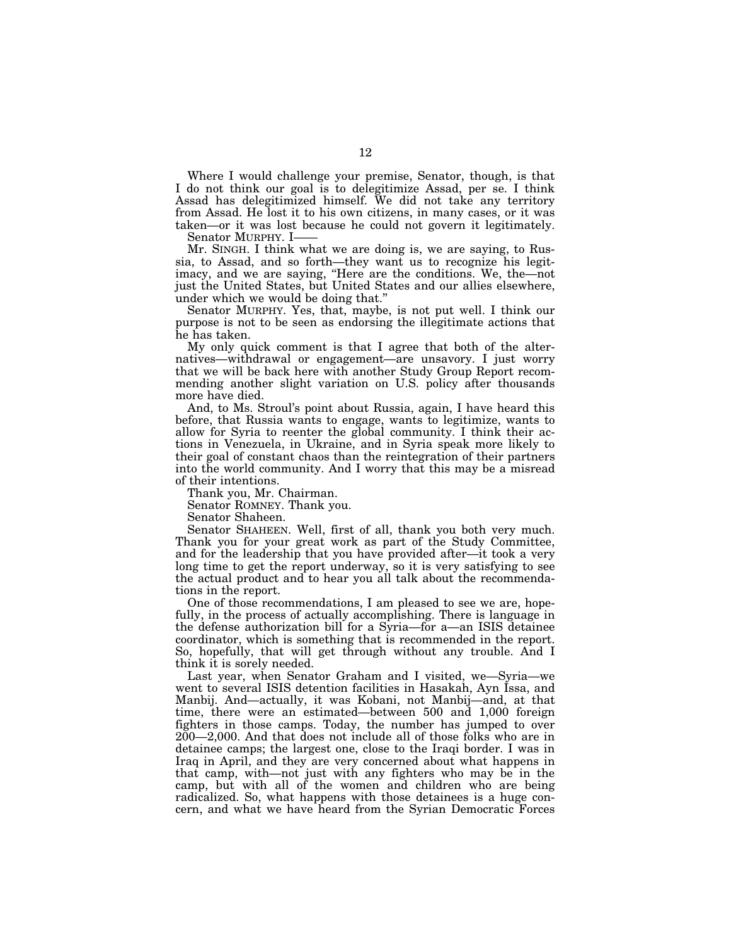Where I would challenge your premise, Senator, though, is that I do not think our goal is to delegitimize Assad, per se. I think Assad has delegitimized himself. We did not take any territory from Assad. He lost it to his own citizens, in many cases, or it was taken—or it was lost because he could not govern it legitimately.

Senator MURPHY. I-

Mr. SINGH. I think what we are doing is, we are saying, to Russia, to Assad, and so forth—they want us to recognize his legitimacy, and we are saying, ''Here are the conditions. We, the—not just the United States, but United States and our allies elsewhere, under which we would be doing that.''

Senator MURPHY. Yes, that, maybe, is not put well. I think our purpose is not to be seen as endorsing the illegitimate actions that he has taken.

My only quick comment is that I agree that both of the alternatives—withdrawal or engagement—are unsavory. I just worry that we will be back here with another Study Group Report recommending another slight variation on U.S. policy after thousands more have died.

And, to Ms. Stroul's point about Russia, again, I have heard this before, that Russia wants to engage, wants to legitimize, wants to allow for Syria to reenter the global community. I think their actions in Venezuela, in Ukraine, and in Syria speak more likely to their goal of constant chaos than the reintegration of their partners into the world community. And I worry that this may be a misread of their intentions.

Thank you, Mr. Chairman.

Senator ROMNEY. Thank you.

Senator Shaheen.

Senator SHAHEEN. Well, first of all, thank you both very much. Thank you for your great work as part of the Study Committee, and for the leadership that you have provided after—it took a very long time to get the report underway, so it is very satisfying to see the actual product and to hear you all talk about the recommendations in the report.

One of those recommendations, I am pleased to see we are, hopefully, in the process of actually accomplishing. There is language in the defense authorization bill for a Syria—for a—an ISIS detainee coordinator, which is something that is recommended in the report. So, hopefully, that will get through without any trouble. And I think it is sorely needed.

Last year, when Senator Graham and I visited, we—Syria—we went to several ISIS detention facilities in Hasakah, Ayn Issa, and Manbij. And—actually, it was Kobani, not Manbij—and, at that time, there were an estimated—between 500 and 1,000 foreign fighters in those camps. Today, the number has jumped to over 200—2,000. And that does not include all of those folks who are in detainee camps; the largest one, close to the Iraqi border. I was in Iraq in April, and they are very concerned about what happens in that camp, with—not just with any fighters who may be in the camp, but with all of the women and children who are being radicalized. So, what happens with those detainees is a huge concern, and what we have heard from the Syrian Democratic Forces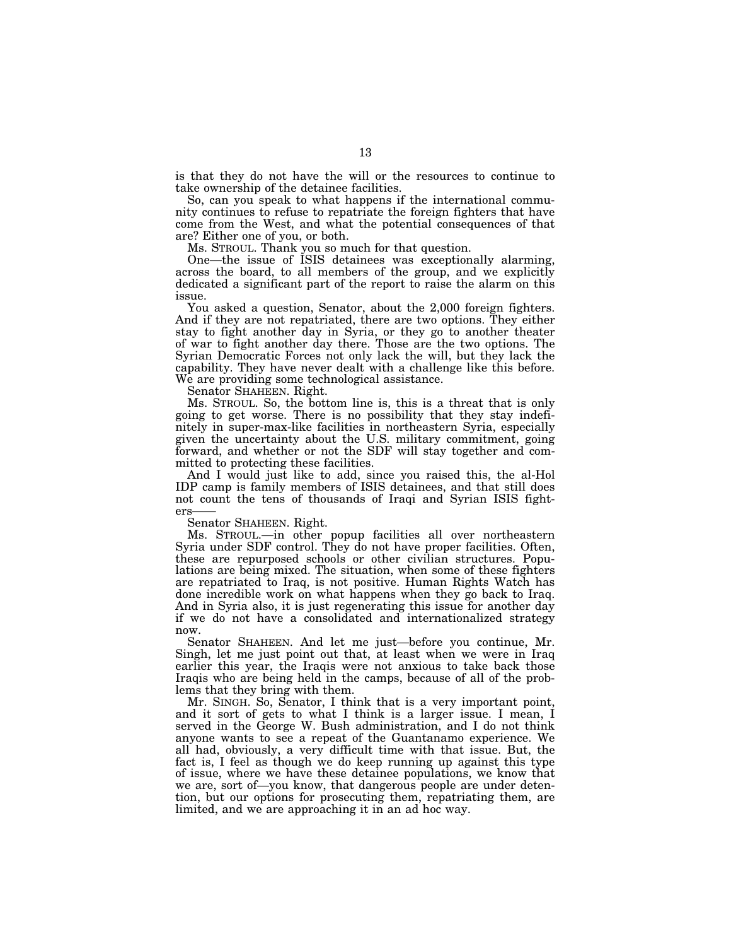is that they do not have the will or the resources to continue to take ownership of the detainee facilities.

So, can you speak to what happens if the international community continues to refuse to repatriate the foreign fighters that have come from the West, and what the potential consequences of that are? Either one of you, or both.

Ms. STROUL. Thank you so much for that question.

One—the issue of ISIS detainees was exceptionally alarming, across the board, to all members of the group, and we explicitly dedicated a significant part of the report to raise the alarm on this issue.

You asked a question, Senator, about the 2,000 foreign fighters. And if they are not repatriated, there are two options. They either stay to fight another day in Syria, or they go to another theater of war to fight another day there. Those are the two options. The Syrian Democratic Forces not only lack the will, but they lack the capability. They have never dealt with a challenge like this before. We are providing some technological assistance.

Senator SHAHEEN. Right.

Ms. STROUL. So, the bottom line is, this is a threat that is only going to get worse. There is no possibility that they stay indefinitely in super-max-like facilities in northeastern Syria, especially given the uncertainty about the U.S. military commitment, going forward, and whether or not the SDF will stay together and committed to protecting these facilities.

And I would just like to add, since you raised this, the al-Hol IDP camp is family members of ISIS detainees, and that still does not count the tens of thousands of Iraqi and Syrian ISIS fighters

Senator SHAHEEN. Right.

Ms. STROUL.—in other popup facilities all over northeastern Syria under SDF control. They do not have proper facilities. Often, these are repurposed schools or other civilian structures. Populations are being mixed. The situation, when some of these fighters are repatriated to Iraq, is not positive. Human Rights Watch has done incredible work on what happens when they go back to Iraq. And in Syria also, it is just regenerating this issue for another day if we do not have a consolidated and internationalized strategy now.

Senator SHAHEEN. And let me just—before you continue, Mr. Singh, let me just point out that, at least when we were in Iraq earlier this year, the Iraqis were not anxious to take back those Iraqis who are being held in the camps, because of all of the problems that they bring with them.

Mr. SINGH. So, Senator, I think that is a very important point, and it sort of gets to what I think is a larger issue. I mean, I served in the George W. Bush administration, and I do not think anyone wants to see a repeat of the Guantanamo experience. We all had, obviously, a very difficult time with that issue. But, the fact is, I feel as though we do keep running up against this type of issue, where we have these detainee populations, we know that we are, sort of—you know, that dangerous people are under detention, but our options for prosecuting them, repatriating them, are limited, and we are approaching it in an ad hoc way.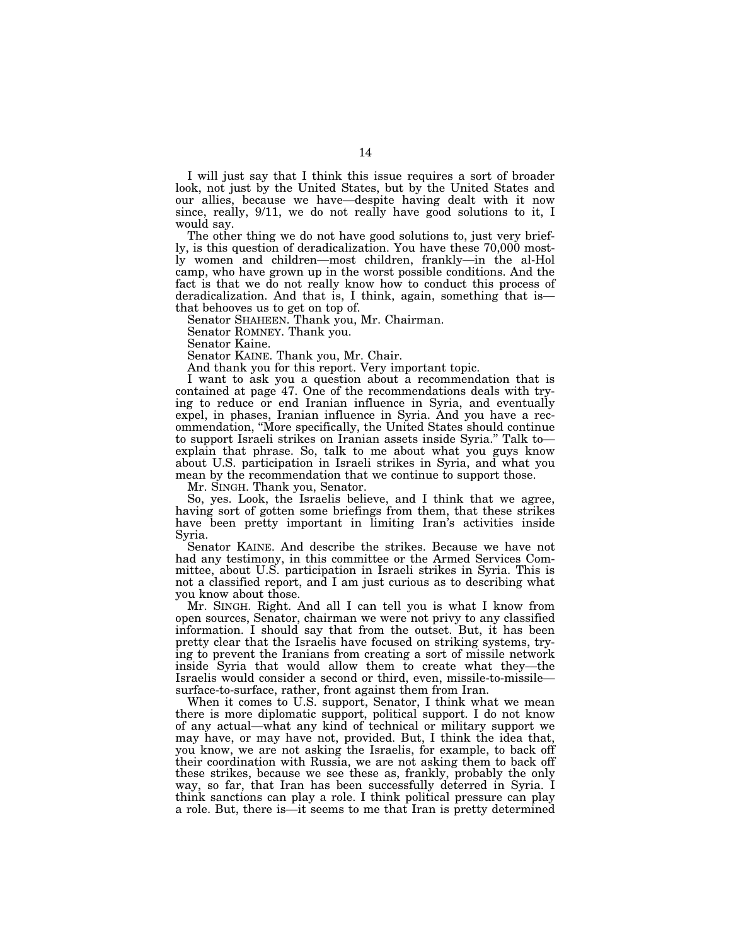I will just say that I think this issue requires a sort of broader look, not just by the United States, but by the United States and our allies, because we have—despite having dealt with it now since, really, 9/11, we do not really have good solutions to it, I would say.

The other thing we do not have good solutions to, just very briefly, is this question of deradicalization. You have these 70,000 mostly women and children—most children, frankly—in the al-Hol camp, who have grown up in the worst possible conditions. And the fact is that we do not really know how to conduct this process of deradicalization. And that is, I think, again, something that is that behooves us to get on top of.

Senator SHAHEEN. Thank you, Mr. Chairman.

Senator ROMNEY. Thank you.

Senator Kaine.

Senator KAINE. Thank you, Mr. Chair.

And thank you for this report. Very important topic.

I want to ask you a question about a recommendation that is contained at page 47. One of the recommendations deals with trying to reduce or end Iranian influence in Syria, and eventually expel, in phases, Iranian influence in Syria. And you have a recommendation, ''More specifically, the United States should continue to support Israeli strikes on Iranian assets inside Syria.'' Talk to explain that phrase. So, talk to me about what you guys know about U.S. participation in Israeli strikes in Syria, and what you mean by the recommendation that we continue to support those.

Mr. SINGH. Thank you, Senator.

So, yes. Look, the Israelis believe, and I think that we agree, having sort of gotten some briefings from them, that these strikes have been pretty important in limiting Iran's activities inside Syria.

Senator KAINE. And describe the strikes. Because we have not had any testimony, in this committee or the Armed Services Committee, about U.S. participation in Israeli strikes in Syria. This is not a classified report, and I am just curious as to describing what you know about those.

Mr. SINGH. Right. And all I can tell you is what I know from open sources, Senator, chairman we were not privy to any classified information. I should say that from the outset. But, it has been pretty clear that the Israelis have focused on striking systems, trying to prevent the Iranians from creating a sort of missile network inside Syria that would allow them to create what they—the Israelis would consider a second or third, even, missile-to-missile surface-to-surface, rather, front against them from Iran.

When it comes to U.S. support, Senator, I think what we mean there is more diplomatic support, political support. I do not know of any actual—what any kind of technical or military support we may have, or may have not, provided. But, I think the idea that, you know, we are not asking the Israelis, for example, to back off their coordination with Russia, we are not asking them to back off these strikes, because we see these as, frankly, probably the only way, so far, that Iran has been successfully deterred in Syria. I think sanctions can play a role. I think political pressure can play a role. But, there is—it seems to me that Iran is pretty determined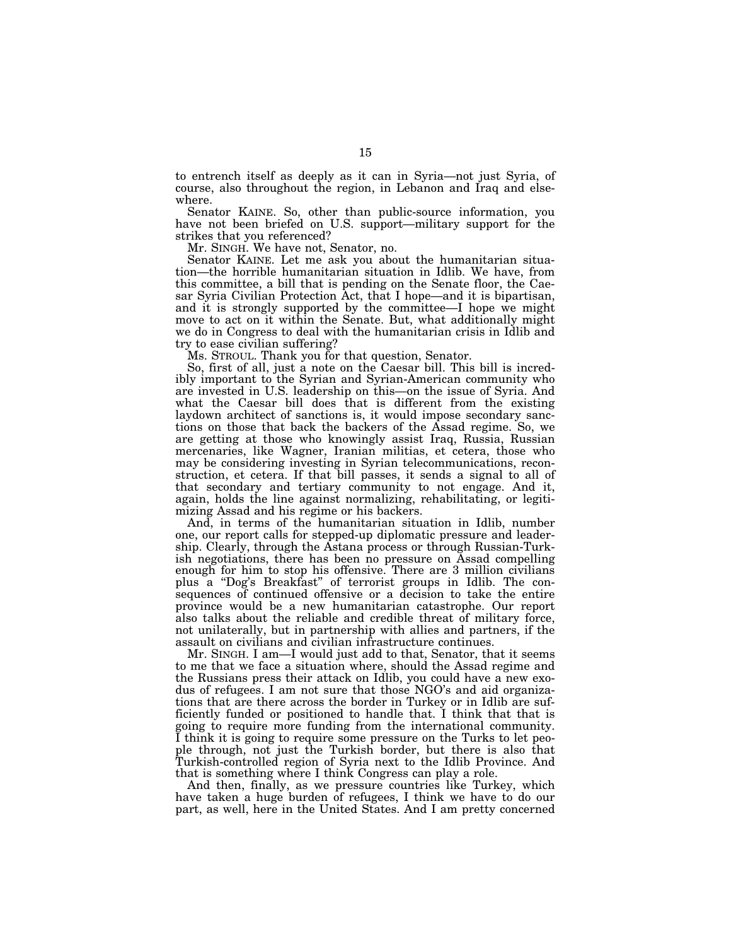to entrench itself as deeply as it can in Syria—not just Syria, of course, also throughout the region, in Lebanon and Iraq and elsewhere.

Senator KAINE. So, other than public-source information, you have not been briefed on U.S. support—military support for the strikes that you referenced?

Mr. SINGH. We have not, Senator, no.

Senator KAINE. Let me ask you about the humanitarian situation—the horrible humanitarian situation in Idlib. We have, from this committee, a bill that is pending on the Senate floor, the Caesar Syria Civilian Protection Act, that I hope—and it is bipartisan, and it is strongly supported by the committee—I hope we might move to act on it within the Senate. But, what additionally might we do in Congress to deal with the humanitarian crisis in Idlib and try to ease civilian suffering?

Ms. STROUL. Thank you for that question, Senator.

So, first of all, just a note on the Caesar bill. This bill is incredibly important to the Syrian and Syrian-American community who are invested in U.S. leadership on this—on the issue of Syria. And what the Caesar bill does that is different from the existing laydown architect of sanctions is, it would impose secondary sanctions on those that back the backers of the Assad regime. So, we are getting at those who knowingly assist Iraq, Russia, Russian mercenaries, like Wagner, Iranian militias, et cetera, those who may be considering investing in Syrian telecommunications, reconstruction, et cetera. If that bill passes, it sends a signal to all of that secondary and tertiary community to not engage. And it, again, holds the line against normalizing, rehabilitating, or legitimizing Assad and his regime or his backers.

And, in terms of the humanitarian situation in Idlib, number one, our report calls for stepped-up diplomatic pressure and leadership. Clearly, through the Astana process or through Russian-Turkish negotiations, there has been no pressure on Assad compelling enough for him to stop his offensive. There are 3 million civilians plus a ''Dog's Breakfast'' of terrorist groups in Idlib. The consequences of continued offensive or a decision to take the entire province would be a new humanitarian catastrophe. Our report also talks about the reliable and credible threat of military force, not unilaterally, but in partnership with allies and partners, if the assault on civilians and civilian infrastructure continues.

Mr. SINGH. I am—I would just add to that, Senator, that it seems to me that we face a situation where, should the Assad regime and the Russians press their attack on Idlib, you could have a new exodus of refugees. I am not sure that those NGO's and aid organizations that are there across the border in Turkey or in Idlib are sufficiently funded or positioned to handle that. I think that that is going to require more funding from the international community. I think it is going to require some pressure on the Turks to let people through, not just the Turkish border, but there is also that Turkish-controlled region of Syria next to the Idlib Province. And that is something where I think Congress can play a role.

And then, finally, as we pressure countries like Turkey, which have taken a huge burden of refugees, I think we have to do our part, as well, here in the United States. And I am pretty concerned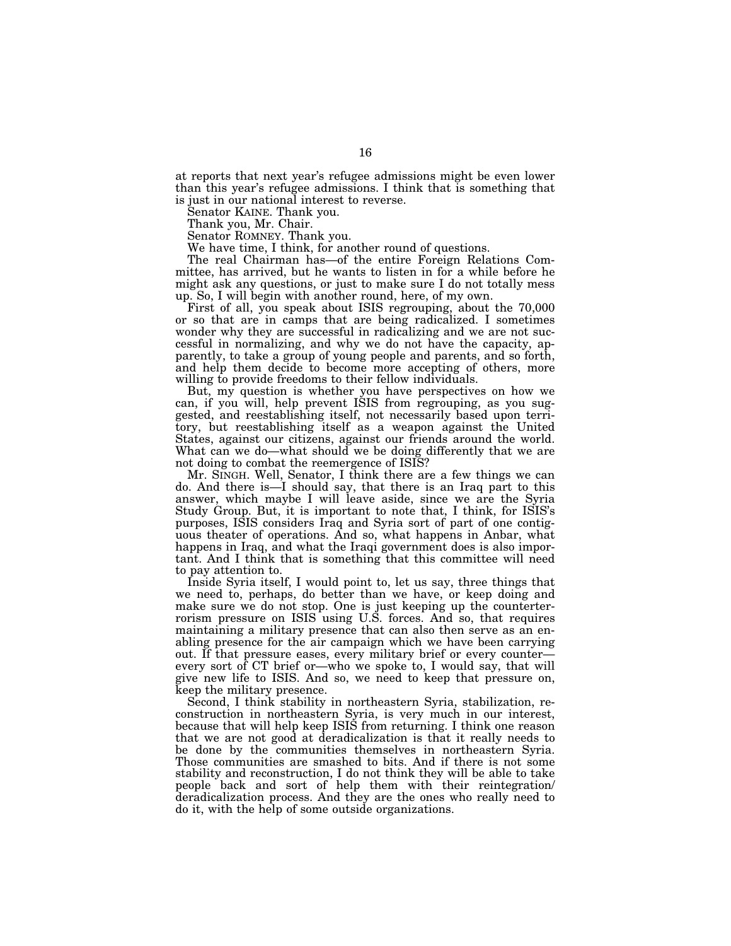at reports that next year's refugee admissions might be even lower than this year's refugee admissions. I think that is something that is just in our national interest to reverse.

Senator KAINE. Thank you.

Thank you, Mr. Chair.

Senator ROMNEY. Thank you.

We have time, I think, for another round of questions.

The real Chairman has—of the entire Foreign Relations Committee, has arrived, but he wants to listen in for a while before he might ask any questions, or just to make sure I do not totally mess up. So, I will begin with another round, here, of my own.

First of all, you speak about ISIS regrouping, about the 70,000 or so that are in camps that are being radicalized. I sometimes wonder why they are successful in radicalizing and we are not successful in normalizing, and why we do not have the capacity, apparently, to take a group of young people and parents, and so forth, and help them decide to become more accepting of others, more willing to provide freedoms to their fellow individuals.

But, my question is whether you have perspectives on how we can, if you will, help prevent ISIS from regrouping, as you suggested, and reestablishing itself, not necessarily based upon territory, but reestablishing itself as a weapon against the United States, against our citizens, against our friends around the world. What can we do—what should we be doing differently that we are not doing to combat the reemergence of ISIS?

Mr. SINGH. Well, Senator, I think there are a few things we can do. And there is—I should say, that there is an Iraq part to this answer, which maybe I will leave aside, since we are the Syria Study Group. But, it is important to note that, I think, for ISIS's purposes, ISIS considers Iraq and Syria sort of part of one contiguous theater of operations. And so, what happens in Anbar, what happens in Iraq, and what the Iraqi government does is also important. And I think that is something that this committee will need to pay attention to.

Inside Syria itself, I would point to, let us say, three things that we need to, perhaps, do better than we have, or keep doing and make sure we do not stop. One is just keeping up the counterterrorism pressure on ISIS using U.S. forces. And so, that requires maintaining a military presence that can also then serve as an enabling presence for the air campaign which we have been carrying out. If that pressure eases, every military brief or every counter every sort of CT brief or—who we spoke to, I would say, that will give new life to ISIS. And so, we need to keep that pressure on, keep the military presence.

Second, I think stability in northeastern Syria, stabilization, reconstruction in northeastern Syria, is very much in our interest, because that will help keep ISIS from returning. I think one reason that we are not good at deradicalization is that it really needs to be done by the communities themselves in northeastern Syria. Those communities are smashed to bits. And if there is not some stability and reconstruction, I do not think they will be able to take people back and sort of help them with their reintegration/ deradicalization process. And they are the ones who really need to do it, with the help of some outside organizations.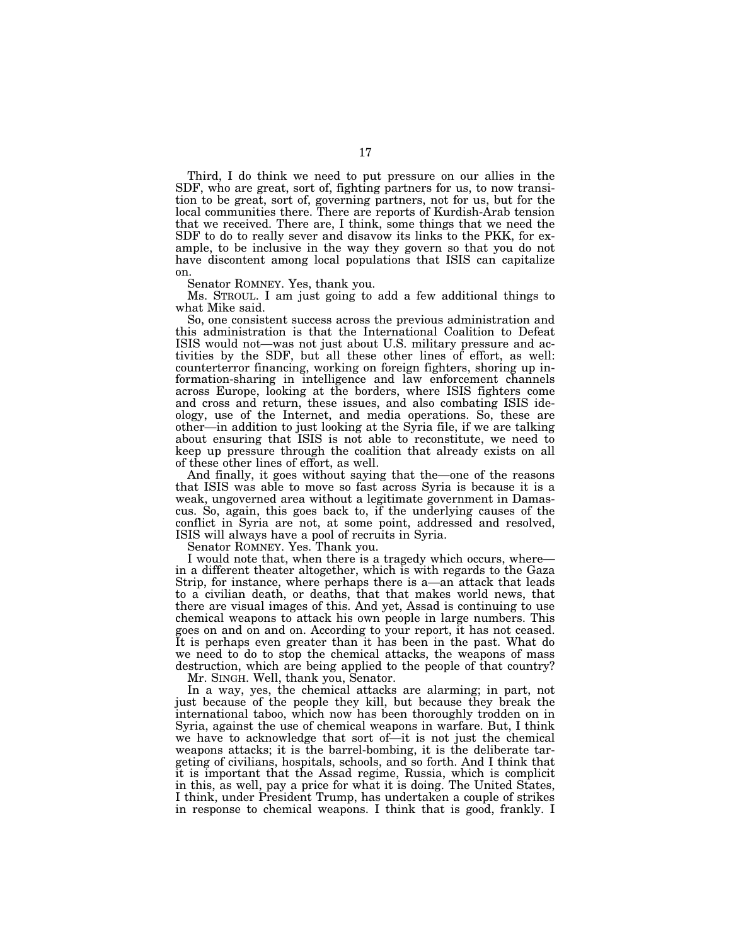Third, I do think we need to put pressure on our allies in the SDF, who are great, sort of, fighting partners for us, to now transition to be great, sort of, governing partners, not for us, but for the local communities there. There are reports of Kurdish-Arab tension that we received. There are, I think, some things that we need the SDF to do to really sever and disavow its links to the PKK, for example, to be inclusive in the way they govern so that you do not have discontent among local populations that ISIS can capitalize on.

Senator ROMNEY. Yes, thank you.

Ms. STROUL. I am just going to add a few additional things to what Mike said.

So, one consistent success across the previous administration and this administration is that the International Coalition to Defeat ISIS would not—was not just about U.S. military pressure and activities by the SDF, but all these other lines of effort, as well: counterterror financing, working on foreign fighters, shoring up information-sharing in intelligence and law enforcement channels across Europe, looking at the borders, where ISIS fighters come and cross and return, these issues, and also combating ISIS ideology, use of the Internet, and media operations. So, these are other—in addition to just looking at the Syria file, if we are talking about ensuring that ISIS is not able to reconstitute, we need to keep up pressure through the coalition that already exists on all of these other lines of effort, as well.

And finally, it goes without saying that the—one of the reasons that ISIS was able to move so fast across Syria is because it is a weak, ungoverned area without a legitimate government in Damascus. So, again, this goes back to, if the underlying causes of the conflict in Syria are not, at some point, addressed and resolved, ISIS will always have a pool of recruits in Syria.

Senator ROMNEY. Yes. Thank you.

I would note that, when there is a tragedy which occurs, where in a different theater altogether, which is with regards to the Gaza Strip, for instance, where perhaps there is a—an attack that leads to a civilian death, or deaths, that that makes world news, that there are visual images of this. And yet, Assad is continuing to use chemical weapons to attack his own people in large numbers. This goes on and on and on. According to your report, it has not ceased. It is perhaps even greater than it has been in the past. What do we need to do to stop the chemical attacks, the weapons of mass destruction, which are being applied to the people of that country?

Mr. SINGH. Well, thank you, Senator.

In a way, yes, the chemical attacks are alarming; in part, not just because of the people they kill, but because they break the international taboo, which now has been thoroughly trodden on in Syria, against the use of chemical weapons in warfare. But, I think we have to acknowledge that sort of—it is not just the chemical weapons attacks; it is the barrel-bombing, it is the deliberate targeting of civilians, hospitals, schools, and so forth. And I think that it is important that the Assad regime, Russia, which is complicit in this, as well, pay a price for what it is doing. The United States, I think, under President Trump, has undertaken a couple of strikes in response to chemical weapons. I think that is good, frankly. I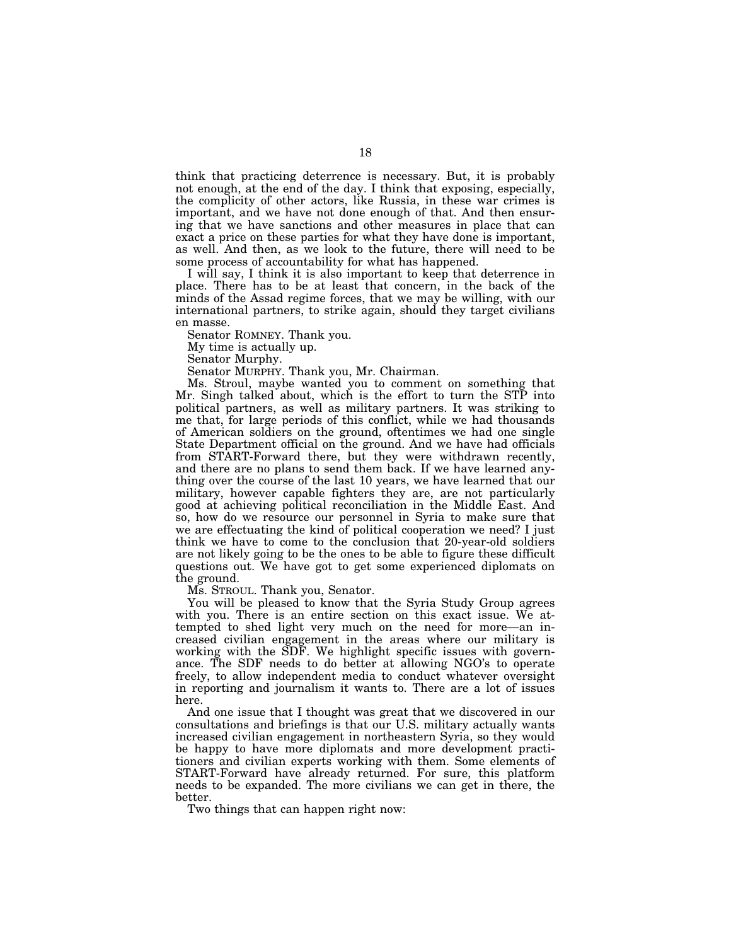think that practicing deterrence is necessary. But, it is probably not enough, at the end of the day. I think that exposing, especially, the complicity of other actors, like Russia, in these war crimes is important, and we have not done enough of that. And then ensuring that we have sanctions and other measures in place that can exact a price on these parties for what they have done is important, as well. And then, as we look to the future, there will need to be some process of accountability for what has happened.

I will say, I think it is also important to keep that deterrence in place. There has to be at least that concern, in the back of the minds of the Assad regime forces, that we may be willing, with our international partners, to strike again, should they target civilians en masse.

Senator ROMNEY. Thank you.

My time is actually up.

Senator Murphy.

Senator MURPHY. Thank you, Mr. Chairman.

Ms. Stroul, maybe wanted you to comment on something that Mr. Singh talked about, which is the effort to turn the STP into political partners, as well as military partners. It was striking to me that, for large periods of this conflict, while we had thousands of American soldiers on the ground, oftentimes we had one single State Department official on the ground. And we have had officials from START-Forward there, but they were withdrawn recently, and there are no plans to send them back. If we have learned anything over the course of the last 10 years, we have learned that our military, however capable fighters they are, are not particularly good at achieving political reconciliation in the Middle East. And so, how do we resource our personnel in Syria to make sure that we are effectuating the kind of political cooperation we need? I just think we have to come to the conclusion that 20-year-old soldiers are not likely going to be the ones to be able to figure these difficult questions out. We have got to get some experienced diplomats on the ground.

Ms. STROUL. Thank you, Senator.

You will be pleased to know that the Syria Study Group agrees with you. There is an entire section on this exact issue. We attempted to shed light very much on the need for more—an increased civilian engagement in the areas where our military is working with the SDF. We highlight specific issues with governance. The SDF needs to do better at allowing NGO's to operate freely, to allow independent media to conduct whatever oversight in reporting and journalism it wants to. There are a lot of issues here.

And one issue that I thought was great that we discovered in our consultations and briefings is that our U.S. military actually wants increased civilian engagement in northeastern Syria, so they would be happy to have more diplomats and more development practitioners and civilian experts working with them. Some elements of START-Forward have already returned. For sure, this platform needs to be expanded. The more civilians we can get in there, the better.

Two things that can happen right now: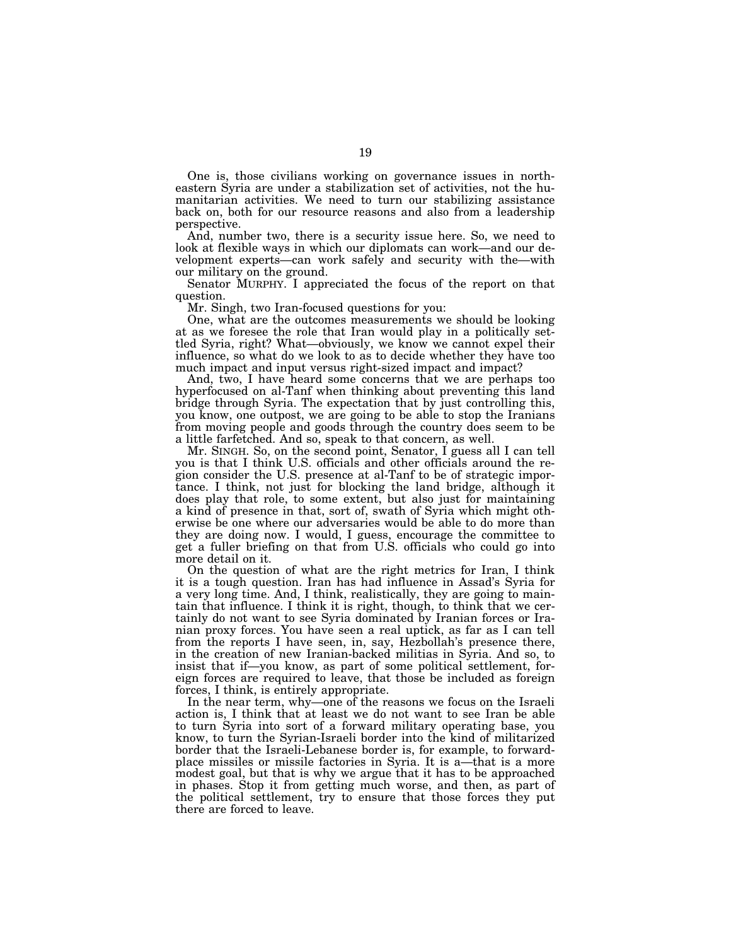One is, those civilians working on governance issues in northeastern Syria are under a stabilization set of activities, not the humanitarian activities. We need to turn our stabilizing assistance back on, both for our resource reasons and also from a leadership perspective.

And, number two, there is a security issue here. So, we need to look at flexible ways in which our diplomats can work—and our development experts—can work safely and security with the—with our military on the ground.

Senator MURPHY. I appreciated the focus of the report on that question.

Mr. Singh, two Iran-focused questions for you:

One, what are the outcomes measurements we should be looking at as we foresee the role that Iran would play in a politically settled Syria, right? What—obviously, we know we cannot expel their influence, so what do we look to as to decide whether they have too much impact and input versus right-sized impact and impact?

And, two, I have heard some concerns that we are perhaps too hyperfocused on al-Tanf when thinking about preventing this land bridge through Syria. The expectation that by just controlling this, you know, one outpost, we are going to be able to stop the Iranians from moving people and goods through the country does seem to be a little farfetched. And so, speak to that concern, as well.

Mr. SINGH. So, on the second point, Senator, I guess all I can tell you is that I think U.S. officials and other officials around the region consider the U.S. presence at al-Tanf to be of strategic importance. I think, not just for blocking the land bridge, although it does play that role, to some extent, but also just for maintaining a kind of presence in that, sort of, swath of Syria which might otherwise be one where our adversaries would be able to do more than they are doing now. I would, I guess, encourage the committee to get a fuller briefing on that from U.S. officials who could go into more detail on it.

On the question of what are the right metrics for Iran, I think it is a tough question. Iran has had influence in Assad's Syria for a very long time. And, I think, realistically, they are going to maintain that influence. I think it is right, though, to think that we certainly do not want to see Syria dominated by Iranian forces or Iranian proxy forces. You have seen a real uptick, as far as I can tell from the reports I have seen, in, say, Hezbollah's presence there, in the creation of new Iranian-backed militias in Syria. And so, to insist that if—you know, as part of some political settlement, foreign forces are required to leave, that those be included as foreign forces, I think, is entirely appropriate.

In the near term, why—one of the reasons we focus on the Israeli action is, I think that at least we do not want to see Iran be able to turn Syria into sort of a forward military operating base, you know, to turn the Syrian-Israeli border into the kind of militarized border that the Israeli-Lebanese border is, for example, to forwardplace missiles or missile factories in Syria. It is a—that is a more modest goal, but that is why we argue that it has to be approached in phases. Stop it from getting much worse, and then, as part of the political settlement, try to ensure that those forces they put there are forced to leave.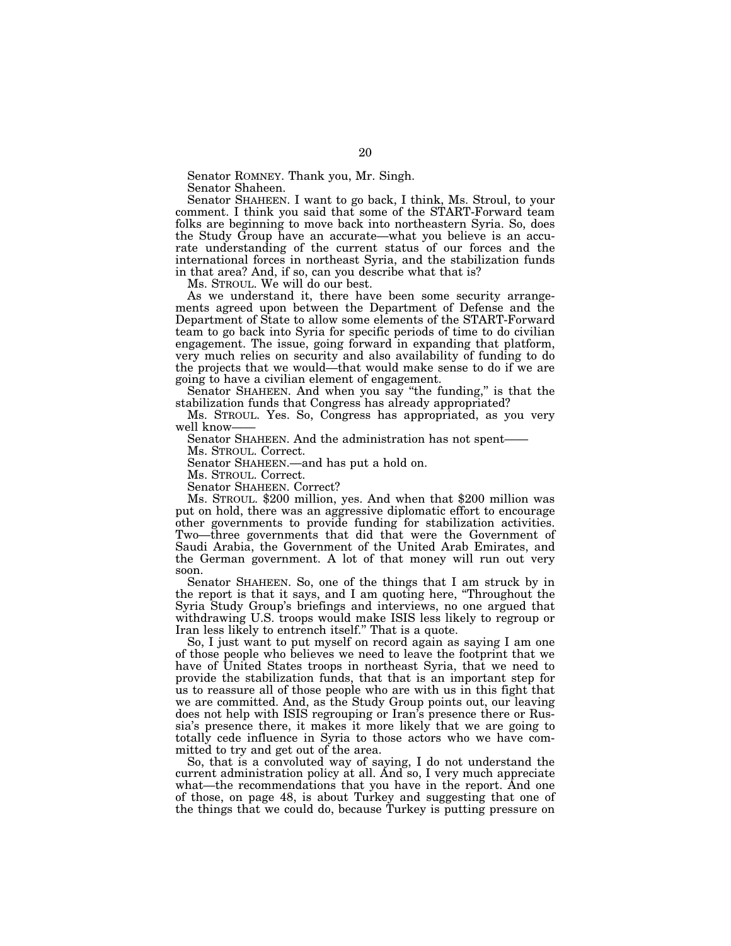Senator ROMNEY. Thank you, Mr. Singh.

Senator Shaheen.

Senator SHAHEEN. I want to go back, I think, Ms. Stroul, to your comment. I think you said that some of the START-Forward team folks are beginning to move back into northeastern Syria. So, does the Study Group have an accurate—what you believe is an accurate understanding of the current status of our forces and the international forces in northeast Syria, and the stabilization funds in that area? And, if so, can you describe what that is?

Ms. STROUL. We will do our best.

As we understand it, there have been some security arrangements agreed upon between the Department of Defense and the Department of State to allow some elements of the START-Forward team to go back into Syria for specific periods of time to do civilian engagement. The issue, going forward in expanding that platform, very much relies on security and also availability of funding to do the projects that we would—that would make sense to do if we are going to have a civilian element of engagement.

Senator SHAHEEN. And when you say "the funding," is that the stabilization funds that Congress has already appropriated?

Ms. STROUL. Yes. So, Congress has appropriated, as you very well know-

Senator SHAHEEN. And the administration has not spent——

Ms. STROUL. Correct.

Senator SHAHEEN.—and has put a hold on.

Ms. STROUL. Correct.

Senator SHAHEEN. Correct?

Ms. STROUL. \$200 million, yes. And when that \$200 million was put on hold, there was an aggressive diplomatic effort to encourage other governments to provide funding for stabilization activities. Two—three governments that did that were the Government of Saudi Arabia, the Government of the United Arab Emirates, and the German government. A lot of that money will run out very soon.

Senator SHAHEEN. So, one of the things that I am struck by in the report is that it says, and I am quoting here, ''Throughout the Syria Study Group's briefings and interviews, no one argued that withdrawing U.S. troops would make ISIS less likely to regroup or Iran less likely to entrench itself.'' That is a quote.

So, I just want to put myself on record again as saying I am one of those people who believes we need to leave the footprint that we have of United States troops in northeast Syria, that we need to provide the stabilization funds, that that is an important step for us to reassure all of those people who are with us in this fight that we are committed. And, as the Study Group points out, our leaving does not help with ISIS regrouping or Iran's presence there or Russia's presence there, it makes it more likely that we are going to totally cede influence in Syria to those actors who we have committed to try and get out of the area.

So, that is a convoluted way of saying, I do not understand the current administration policy at all. And so, I very much appreciate what—the recommendations that you have in the report. And one of those, on page 48, is about Turkey and suggesting that one of the things that we could do, because Turkey is putting pressure on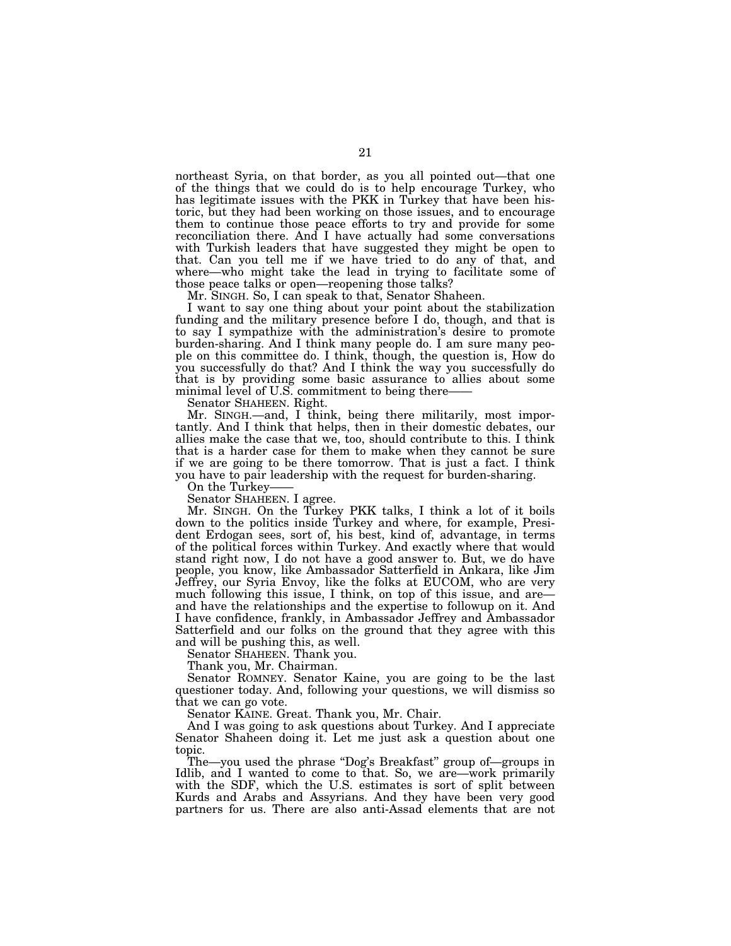northeast Syria, on that border, as you all pointed out—that one of the things that we could do is to help encourage Turkey, who has legitimate issues with the PKK in Turkey that have been historic, but they had been working on those issues, and to encourage them to continue those peace efforts to try and provide for some reconciliation there. And I have actually had some conversations with Turkish leaders that have suggested they might be open to that. Can you tell me if we have tried to do any of that, and where—who might take the lead in trying to facilitate some of those peace talks or open—reopening those talks?

Mr. SINGH. So, I can speak to that, Senator Shaheen.

I want to say one thing about your point about the stabilization funding and the military presence before I do, though, and that is to say I sympathize with the administration's desire to promote burden-sharing. And I think many people do. I am sure many people on this committee do. I think, though, the question is, How do you successfully do that? And I think the way you successfully do that is by providing some basic assurance to allies about some minimal level of U.S. commitment to being there-

Senator SHAHEEN. Right.

Mr. SINGH.—and, I think, being there militarily, most importantly. And I think that helps, then in their domestic debates, our allies make the case that we, too, should contribute to this. I think that is a harder case for them to make when they cannot be sure if we are going to be there tomorrow. That is just a fact. I think you have to pair leadership with the request for burden-sharing.

On the Turkey-

Senator SHAHEEN. I agree.

Mr. SINGH. On the Turkey PKK talks, I think a lot of it boils down to the politics inside Turkey and where, for example, President Erdogan sees, sort of, his best, kind of, advantage, in terms of the political forces within Turkey. And exactly where that would stand right now, I do not have a good answer to. But, we do have people, you know, like Ambassador Satterfield in Ankara, like Jim Jeffrey, our Syria Envoy, like the folks at EUCOM, who are very much following this issue, I think, on top of this issue, and are and have the relationships and the expertise to followup on it. And I have confidence, frankly, in Ambassador Jeffrey and Ambassador Satterfield and our folks on the ground that they agree with this and will be pushing this, as well.

Senator SHAHEEN. Thank you.

Thank you, Mr. Chairman.

Senator ROMNEY. Senator Kaine, you are going to be the last questioner today. And, following your questions, we will dismiss so that we can go vote.

Senator KAINE. Great. Thank you, Mr. Chair.

And I was going to ask questions about Turkey. And I appreciate Senator Shaheen doing it. Let me just ask a question about one topic.

The—you used the phrase ''Dog's Breakfast'' group of—groups in Idlib, and I wanted to come to that. So, we are—work primarily with the SDF, which the U.S. estimates is sort of split between Kurds and Arabs and Assyrians. And they have been very good partners for us. There are also anti-Assad elements that are not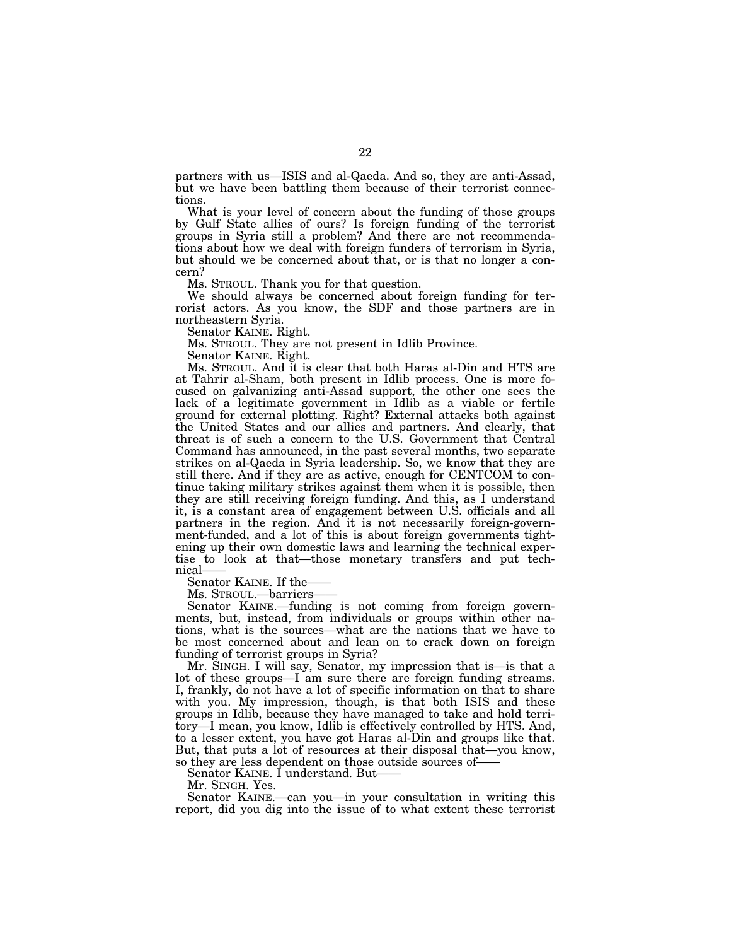partners with us—ISIS and al-Qaeda. And so, they are anti-Assad, but we have been battling them because of their terrorist connections.

What is your level of concern about the funding of those groups by Gulf State allies of ours? Is foreign funding of the terrorist groups in Syria still a problem? And there are not recommendations about how we deal with foreign funders of terrorism in Syria, but should we be concerned about that, or is that no longer a concern?

Ms. STROUL. Thank you for that question.

We should always be concerned about foreign funding for terrorist actors. As you know, the SDF and those partners are in northeastern Syria.

Senator KAINE. Right.

Ms. STROUL. They are not present in Idlib Province.

Senator KAINE. Right.

Ms. STROUL. And it is clear that both Haras al-Din and HTS are at Tahrir al-Sham, both present in Idlib process. One is more focused on galvanizing anti-Assad support, the other one sees the lack of a legitimate government in Idlib as a viable or fertile ground for external plotting. Right? External attacks both against the United States and our allies and partners. And clearly, that threat is of such a concern to the U.S. Government that Central Command has announced, in the past several months, two separate strikes on al-Qaeda in Syria leadership. So, we know that they are still there. And if they are as active, enough for CENTCOM to continue taking military strikes against them when it is possible, then they are still receiving foreign funding. And this, as I understand it, is a constant area of engagement between U.S. officials and all partners in the region. And it is not necessarily foreign-government-funded, and a lot of this is about foreign governments tightening up their own domestic laws and learning the technical expertise to look at that—those monetary transfers and put technical——

Senator KAINE. If the-

Ms. STROUL.—barriers—

Senator KAINE.—funding is not coming from foreign governments, but, instead, from individuals or groups within other nations, what is the sources—what are the nations that we have to be most concerned about and lean on to crack down on foreign funding of terrorist groups in Syria?

Mr. SINGH. I will say, Senator, my impression that is—is that a lot of these groups—I am sure there are foreign funding streams. I, frankly, do not have a lot of specific information on that to share with you. My impression, though, is that both ISIS and these groups in Idlib, because they have managed to take and hold territory—I mean, you know, Idlib is effectively controlled by HTS. And, to a lesser extent, you have got Haras al-Din and groups like that. But, that puts a lot of resources at their disposal that—you know, so they are less dependent on those outside sources of——

Senator KAINE. I understand. But-

Mr. SINGH. Yes.

Senator KAINE.—can you—in your consultation in writing this report, did you dig into the issue of to what extent these terrorist